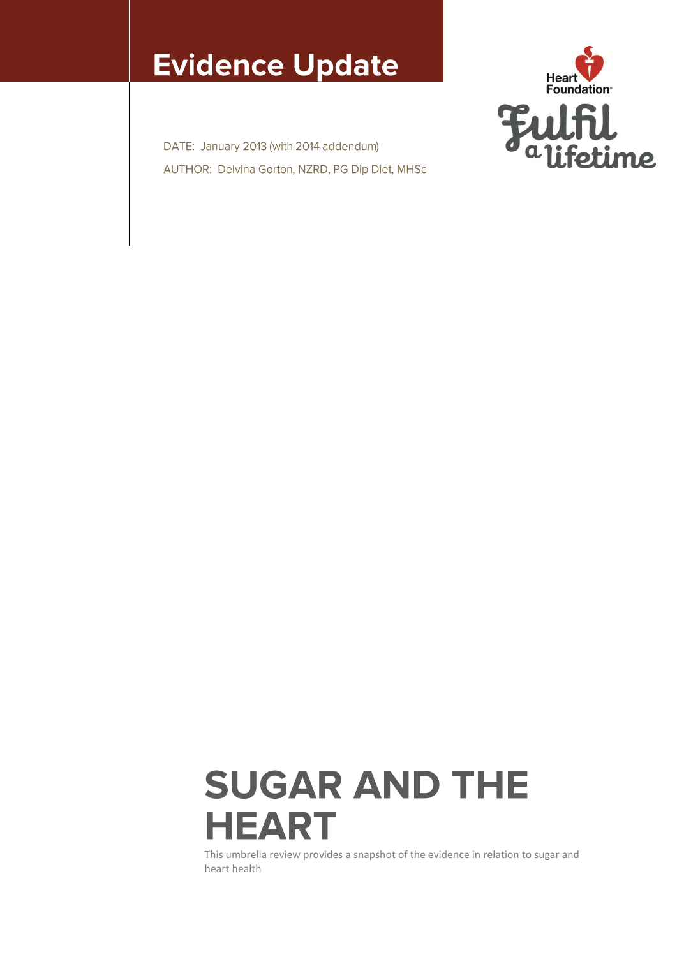## **Evidence Update**

DATE: January 2013 (with 2014 addendum) AUTHOR: Delvina Gorton, NZRD, PG Dip Diet, MHSc



# **SUGAR AND THE HEART**

This umbrella review provides a snapshot of the evidence in relation to sugar and heart health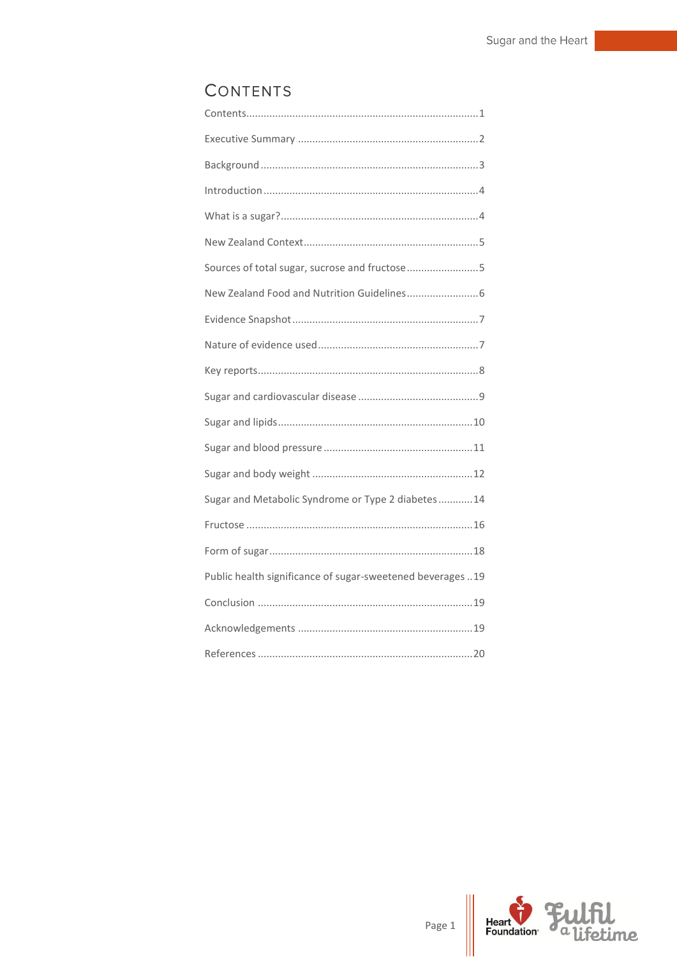## <span id="page-1-0"></span>CONTENTS

| Sources of total sugar, sucrose and fructose5               |
|-------------------------------------------------------------|
|                                                             |
|                                                             |
|                                                             |
|                                                             |
|                                                             |
|                                                             |
|                                                             |
|                                                             |
| Sugar and Metabolic Syndrome or Type 2 diabetes14           |
|                                                             |
|                                                             |
| Public health significance of sugar-sweetened beverages  19 |
|                                                             |
|                                                             |
|                                                             |

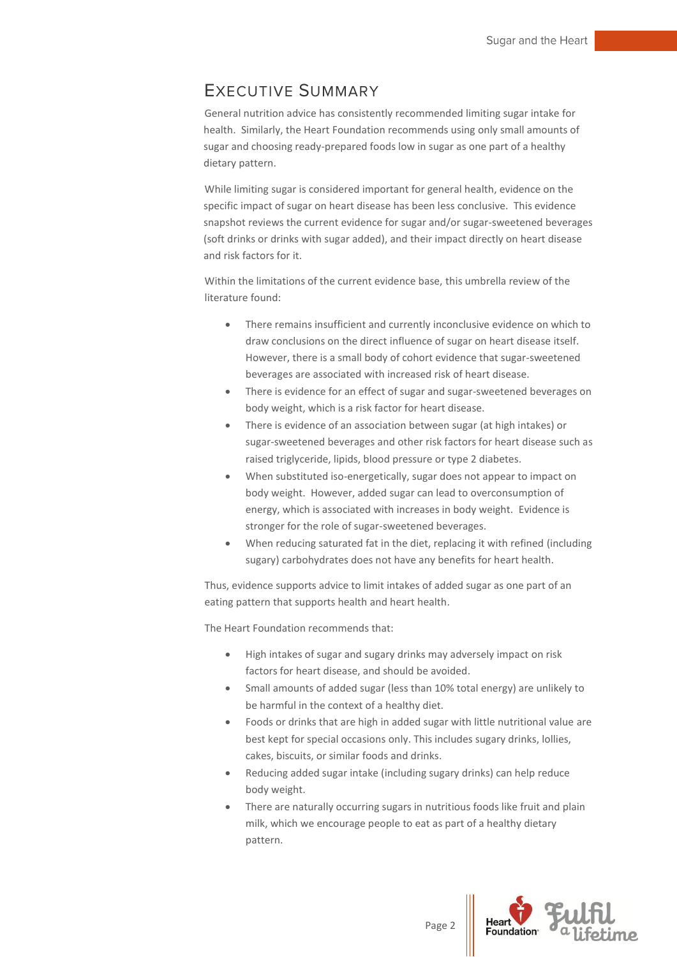## <span id="page-2-0"></span>**EXECUTIVE SUMMARY**

General nutrition advice has consistently recommended limiting sugar intake for health. Similarly, the Heart Foundation recommends using only small amounts of sugar and choosing ready-prepared foods low in sugar as one part of a healthy dietary pattern.

While limiting sugar is considered important for general health, evidence on the specific impact of sugar on heart disease has been less conclusive. This evidence snapshot reviews the current evidence for sugar and/or sugar-sweetened beverages (soft drinks or drinks with sugar added), and their impact directly on heart disease and risk factors for it.

Within the limitations of the current evidence base, this umbrella review of the literature found:

- There remains insufficient and currently inconclusive evidence on which to draw conclusions on the direct influence of sugar on heart disease itself. However, there is a small body of cohort evidence that sugar-sweetened beverages are associated with increased risk of heart disease.
- There is evidence for an effect of sugar and sugar-sweetened beverages on body weight, which is a risk factor for heart disease.
- There is evidence of an association between sugar (at high intakes) or sugar-sweetened beverages and other risk factors for heart disease such as raised triglyceride, lipids, blood pressure or type 2 diabetes.
- When substituted iso-energetically, sugar does not appear to impact on body weight. However, added sugar can lead to overconsumption of energy, which is associated with increases in body weight. Evidence is stronger for the role of sugar-sweetened beverages.
- When reducing saturated fat in the diet, replacing it with refined (including sugary) carbohydrates does not have any benefits for heart health.

Thus, evidence supports advice to limit intakes of added sugar as one part of an eating pattern that supports health and heart health.

The Heart Foundation recommends that:

- High intakes of sugar and sugary drinks may adversely impact on risk factors for heart disease, and should be avoided.
- Small amounts of added sugar (less than 10% total energy) are unlikely to be harmful in the context of a healthy diet.
- Foods or drinks that are high in added sugar with little nutritional value are best kept for special occasions only. This includes sugary drinks, lollies, cakes, biscuits, or similar foods and drinks.
- Reducing added sugar intake (including sugary drinks) can help reduce body weight.
- There are naturally occurring sugars in nutritious foods like fruit and plain milk, which we encourage people to eat as part of a healthy dietary pattern.

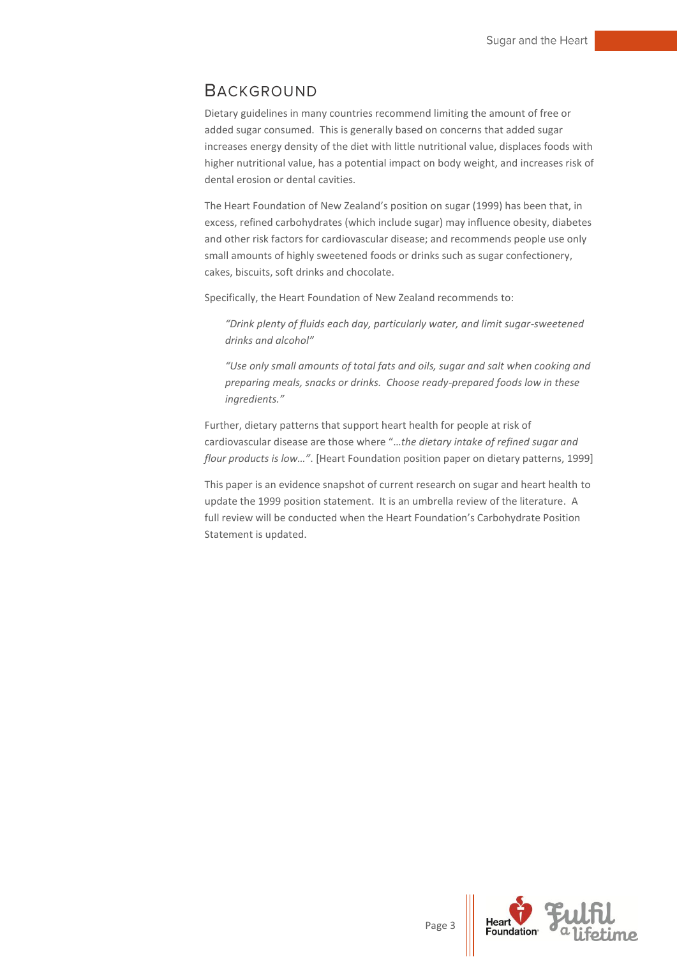## <span id="page-3-0"></span>**BACKGROUND**

Dietary guidelines in many countries recommend limiting the amount of free or added sugar consumed. This is generally based on concerns that added sugar increases energy density of the diet with little nutritional value, displaces foods with higher nutritional value, has a potential impact on body weight, and increases risk of dental erosion or dental cavities.

The Heart Foundation of New Zealand's position on sugar (1999) has been that, in excess, refined carbohydrates (which include sugar) may influence obesity, diabetes and other risk factors for cardiovascular disease; and recommends people use only small amounts of highly sweetened foods or drinks such as sugar confectionery, cakes, biscuits, soft drinks and chocolate.

Specifically, the Heart Foundation of New Zealand recommends to:

*"Drink plenty of fluids each day, particularly water, and limit sugar-sweetened drinks and alcohol"*

*"Use only small amounts of total fats and oils, sugar and salt when cooking and preparing meals, snacks or drinks. Choose ready-prepared foods low in these ingredients."*

Further, dietary patterns that support heart health for people at risk of cardiovascular disease are those where "…*the dietary intake of refined sugar and flour products is low…"*. [Heart Foundation position paper on dietary patterns, 1999]

This paper is an evidence snapshot of current research on sugar and heart health to update the 1999 position statement. It is an umbrella review of the literature. A full review will be conducted when the Heart Foundation's Carbohydrate Position Statement is updated.

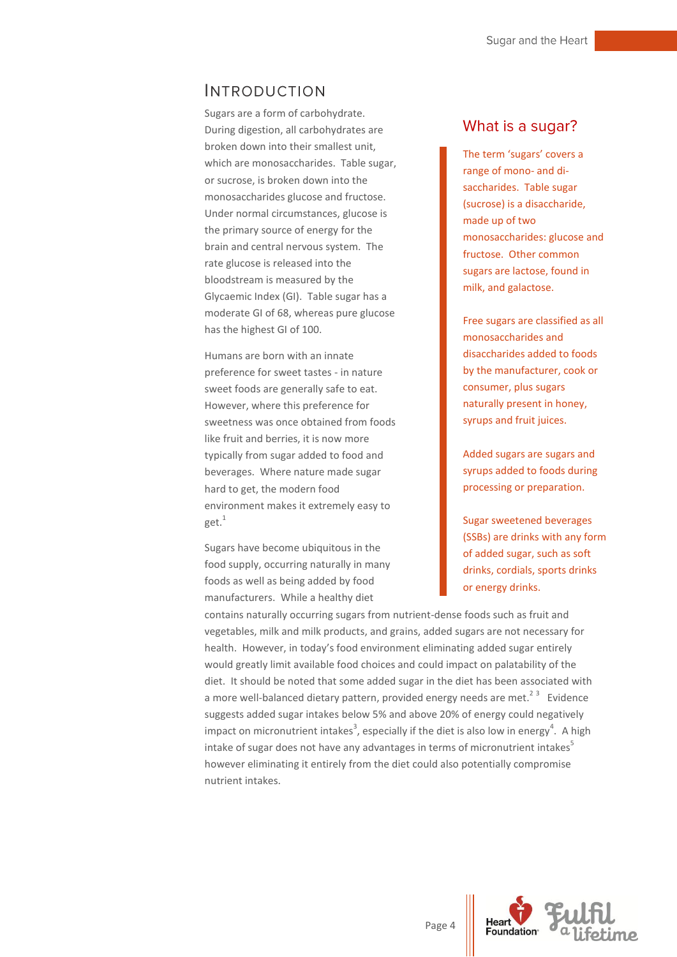## <span id="page-4-0"></span>**INTRODUCTION**

Sugars are a form of carbohydrate. During digestion, all carbohydrates are broken down into their smallest unit, which are monosaccharides. Table sugar, or sucrose, is broken down into the monosaccharides glucose and fructose. Under normal circumstances, glucose is the primary source of energy for the brain and central nervous system. The rate glucose is released into the bloodstream is measured by the Glycaemic Index (GI). Table sugar has a moderate GI of 68, whereas pure glucose has the highest GI of 100.

Humans are born with an innate preference for sweet tastes - in nature sweet foods are generally safe to eat. However, where this preference for sweetness was once obtained from foods like fruit and berries, it is now more typically from sugar added to food and beverages. Where nature made sugar hard to get, the modern food environment makes it extremely easy to get.<sup>1</sup>

Sugars have become ubiquitous in the food supply, occurring naturally in many foods as well as being added by food manufacturers. While a healthy diet

#### What is a sugar?

The term 'sugars' covers a range of mono- and disaccharides. Table sugar (sucrose) is a disaccharide, made up of two monosaccharides: glucose and fructose. Other common sugars are lactose, found in milk, and galactose.

Free sugars are classified as all monosaccharides and disaccharides added to foods by the manufacturer, cook or consumer, plus sugars naturally present in honey, syrups and fruit juices.

Added sugars are sugars and syrups added to foods during processing or preparation.

Sugar sweetened beverages (SSBs) are drinks with any form of added sugar, such as soft drinks, cordials, sports drinks or energy drinks.

contains naturally occurring sugars from nutrient-dense foods such as fruit and vegetables, milk and milk products, and grains, added sugars are not necessary for health. However, in today's food environment eliminating added sugar entirely would greatly limit available food choices and could impact on palatability of the diet. It should be noted that some added sugar in the diet has been associated with a more well-balanced dietary pattern, provided energy needs are met.<sup>23</sup> Evidence suggests added sugar intakes below 5% and above 20% of energy could negatively impact on micronutrient intakes<sup>3</sup>, especially if the diet is also low in energy<sup>4</sup>. A high intake of sugar does not have any advantages in terms of micronutrient intakes<sup>5</sup> however eliminating it entirely from the diet could also potentially compromise nutrient intakes.

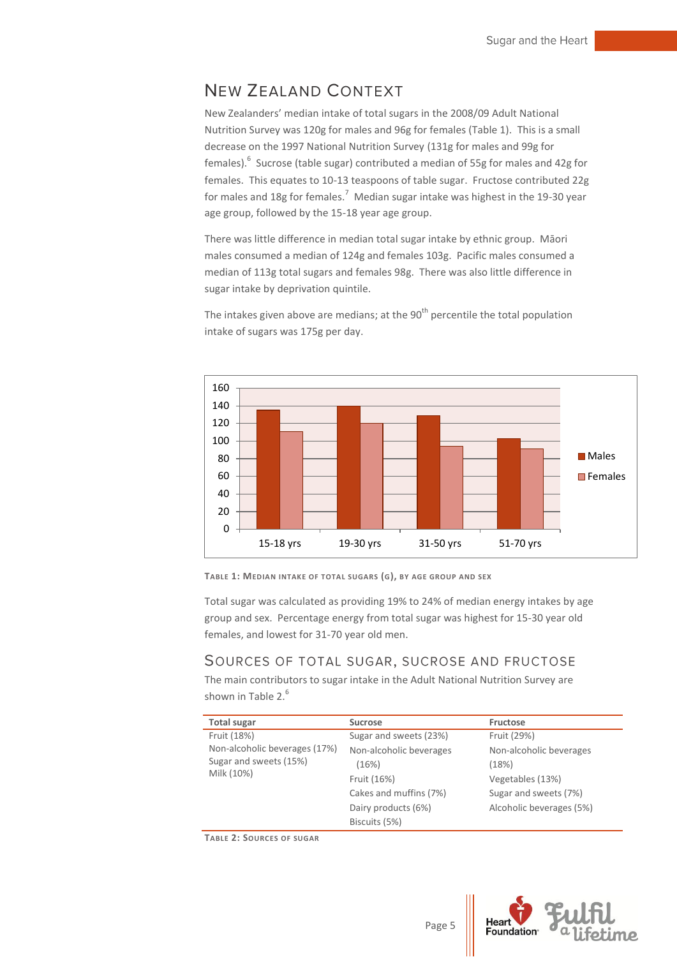## <span id="page-5-0"></span>**NEW ZEALAND CONTEXT**

New Zealanders' median intake of total sugars in the 2008/09 Adult National Nutrition Survey was 120g for males and 96g for females (Table 1). This is a small decrease on the 1997 National Nutrition Survey (131g for males and 99g for females). 6 Sucrose (table sugar) contributed a median of 55g for males and 42g for females. This equates to 10-13 teaspoons of table sugar. Fructose contributed 22g for males and 18g for females.<sup>7</sup> Median sugar intake was highest in the 19-30 year age group, followed by the 15-18 year age group.

There was little difference in median total sugar intake by ethnic group. Māori males consumed a median of 124g and females 103g. Pacific males consumed a median of 113g total sugars and females 98g. There was also little difference in sugar intake by deprivation quintile.

The intakes given above are medians; at the  $90<sup>th</sup>$  percentile the total population intake of sugars was 175g per day.





Total sugar was calculated as providing 19% to 24% of median energy intakes by age group and sex. Percentage energy from total sugar was highest for 15-30 year old females, and lowest for 31-70 year old men.

## <span id="page-5-1"></span>SOURCES OF TOTAL SUGAR, SUCROSE AND FRUCTOSE

The main contributors to sugar intake in the Adult National Nutrition Survey are shown in Table  $2<sup>6</sup>$ 

| <b>Total sugar</b>                                                                   | <b>Sucrose</b>          | Fructose                 |
|--------------------------------------------------------------------------------------|-------------------------|--------------------------|
| Fruit (18%)<br>Non-alcoholic beverages (17%)<br>Sugar and sweets (15%)<br>Milk (10%) | Sugar and sweets (23%)  | Fruit (29%)              |
|                                                                                      | Non-alcoholic beverages | Non-alcoholic beverages  |
|                                                                                      | (16%)                   | (18%)                    |
|                                                                                      | Fruit (16%)             | Vegetables (13%)         |
|                                                                                      | Cakes and muffins (7%)  | Sugar and sweets (7%)    |
|                                                                                      | Dairy products (6%)     | Alcoholic beverages (5%) |
|                                                                                      | Biscuits (5%)           |                          |

**TABLE 2: SOURCES OF SUGAR**

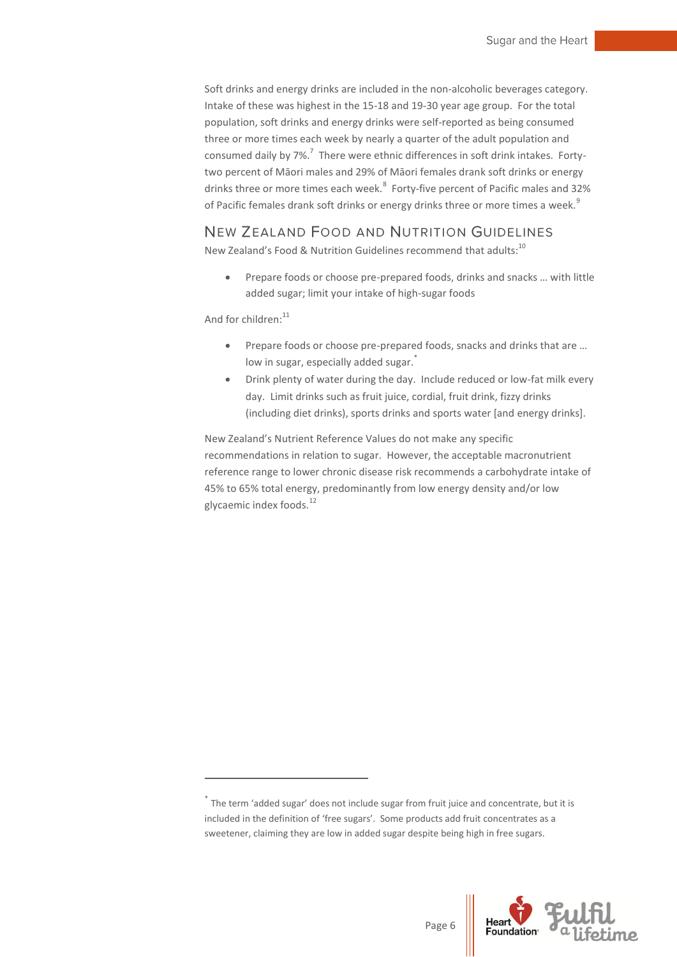Soft drinks and energy drinks are included in the non-alcoholic beverages category. Intake of these was highest in the 15-18 and 19-30 year age group. For the total population, soft drinks and energy drinks were self-reported as being consumed three or more times each week by nearly a quarter of the adult population and consumed daily by 7%.<sup>7</sup> There were ethnic differences in soft drink intakes. Fortytwo percent of Māori males and 29% of Māori females drank soft drinks or energy drinks three or more times each week.<sup>8</sup> Forty-five percent of Pacific males and 32% of Pacific females drank soft drinks or energy drinks three or more times a week.<sup>9</sup>

## <span id="page-6-0"></span>NEW ZEALAND FOOD AND NUTRITION GUIDELINES

New Zealand's Food & Nutrition Guidelines recommend that adults:<sup>10</sup>

 Prepare foods or choose pre-prepared foods, drinks and snacks … with little added sugar; limit your intake of high-sugar foods

And for children: $11$ 

1

- Prepare foods or choose pre-prepared foods, snacks and drinks that are ... low in sugar, especially added sugar.
- Drink plenty of water during the day. Include reduced or low-fat milk every day. Limit drinks such as fruit juice, cordial, fruit drink, fizzy drinks (including diet drinks), sports drinks and sports water [and energy drinks].

New Zealand's Nutrient Reference Values do not make any specific recommendations in relation to sugar. However, the acceptable macronutrient reference range to lower chronic disease risk recommends a carbohydrate intake of 45% to 65% total energy, predominantly from low energy density and/or low glycaemic index foods.<sup>12</sup>



<sup>\*</sup> The term 'added sugar' does not include sugar from fruit juice and concentrate, but it is included in the definition of 'free sugars'. Some products add fruit concentrates as a sweetener, claiming they are low in added sugar despite being high in free sugars.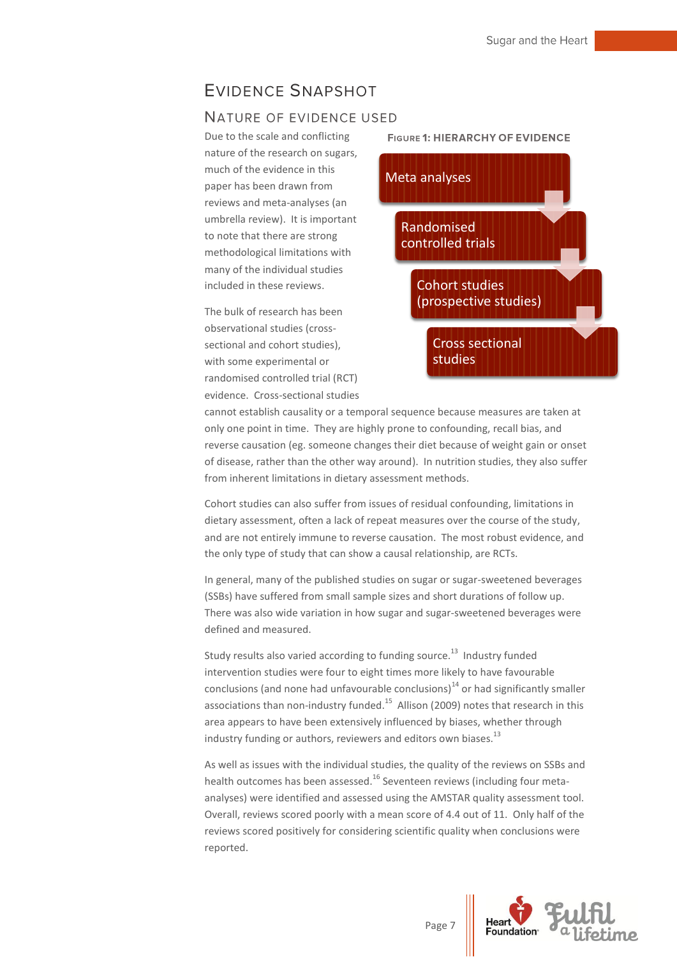## <span id="page-7-0"></span>**EVIDENCE SNAPSHOT**

#### <span id="page-7-1"></span>NATURE OF EVIDENCE USED

Due to the scale and conflicting nature of the research on sugars, much of the evidence in this paper has been drawn from reviews and meta-analyses (an umbrella review). It is important to note that there are strong methodological limitations with many of the individual studies included in these reviews.

The bulk of research has been observational studies (crosssectional and cohort studies), with some experimental or randomised controlled trial (RCT) evidence. Cross-sectional studies



cannot establish causality or a temporal sequence because measures are taken at only one point in time. They are highly prone to confounding, recall bias, and reverse causation (eg. someone changes their diet because of weight gain or onset of disease, rather than the other way around). In nutrition studies, they also suffer from inherent limitations in dietary assessment methods.

Cohort studies can also suffer from issues of residual confounding, limitations in dietary assessment, often a lack of repeat measures over the course of the study, and are not entirely immune to reverse causation. The most robust evidence, and the only type of study that can show a causal relationship, are RCTs.

In general, many of the published studies on sugar or sugar-sweetened beverages (SSBs) have suffered from small sample sizes and short durations of follow up. There was also wide variation in how sugar and sugar-sweetened beverages were defined and measured.

Study results also varied according to funding source.<sup>13</sup> Industry funded intervention studies were four to eight times more likely to have favourable conclusions (and none had unfavourable conclusions) $^{14}$  or had significantly smaller associations than non-industry funded.<sup>15</sup> Allison (2009) notes that research in this area appears to have been extensively influenced by biases, whether through industry funding or authors, reviewers and editors own biases. $^{13}$ 

As well as issues with the individual studies, the quality of the reviews on SSBs and health outcomes has been assessed.<sup>16</sup> Seventeen reviews (including four metaanalyses) were identified and assessed using the AMSTAR quality assessment tool. Overall, reviews scored poorly with a mean score of 4.4 out of 11. Only half of the reviews scored positively for considering scientific quality when conclusions were reported.

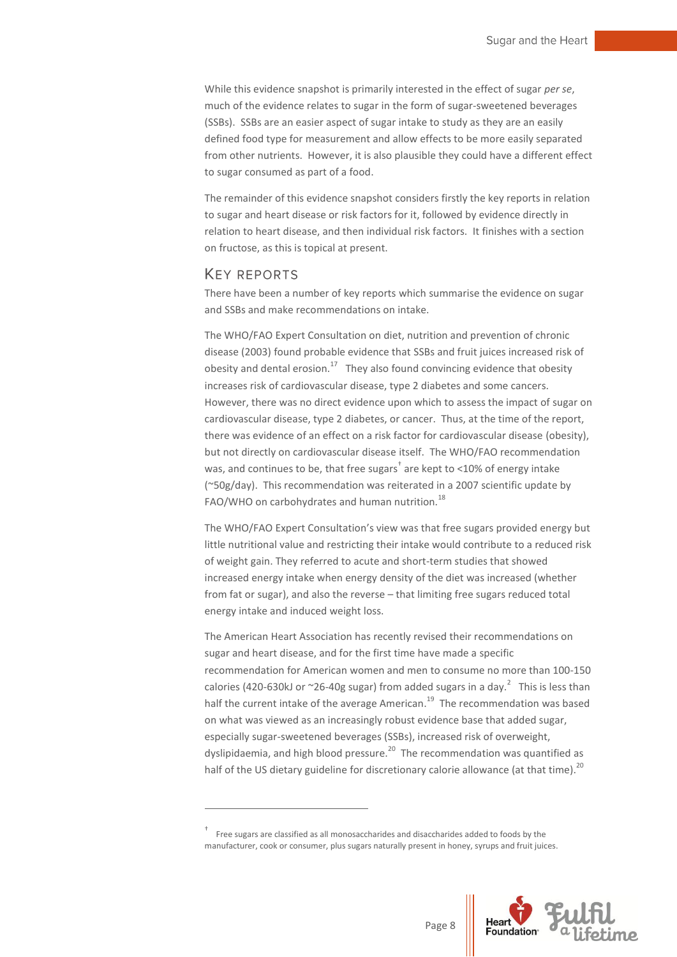While this evidence snapshot is primarily interested in the effect of sugar *per se*, much of the evidence relates to sugar in the form of sugar-sweetened beverages (SSBs). SSBs are an easier aspect of sugar intake to study as they are an easily defined food type for measurement and allow effects to be more easily separated from other nutrients. However, it is also plausible they could have a different effect to sugar consumed as part of a food.

The remainder of this evidence snapshot considers firstly the key reports in relation to sugar and heart disease or risk factors for it, followed by evidence directly in relation to heart disease, and then individual risk factors. It finishes with a section on fructose, as this is topical at present.

#### <span id="page-8-0"></span>**KEY REPORTS**

1

There have been a number of key reports which summarise the evidence on sugar and SSBs and make recommendations on intake.

The WHO/FAO Expert Consultation on diet, nutrition and prevention of chronic disease (2003) found probable evidence that SSBs and fruit juices increased risk of obesity and dental erosion.<sup>17</sup> They also found convincing evidence that obesity increases risk of cardiovascular disease, type 2 diabetes and some cancers. However, there was no direct evidence upon which to assess the impact of sugar on cardiovascular disease, type 2 diabetes, or cancer. Thus, at the time of the report, there was evidence of an effect on a risk factor for cardiovascular disease (obesity), but not directly on cardiovascular disease itself. The WHO/FAO recommendation was, and continues to be, that free sugars<sup>†</sup> are kept to <10% of energy intake (~50g/day). This recommendation was reiterated in a 2007 scientific update by FAO/WHO on carbohydrates and human nutrition. $^{18}$ 

The WHO/FAO Expert Consultation's view was that free sugars provided energy but little nutritional value and restricting their intake would contribute to a reduced risk of weight gain. They referred to acute and short-term studies that showed increased energy intake when energy density of the diet was increased (whether from fat or sugar), and also the reverse – that limiting free sugars reduced total energy intake and induced weight loss.

The American Heart Association has recently revised their recommendations on sugar and heart disease, and for the first time have made a specific recommendation for American women and men to consume no more than 100-150 calories (420-630kJ or  $\sim$ 26-40g sugar) from added sugars in a day. $^2$  This is less than half the current intake of the average American.<sup>19</sup> The recommendation was based on what was viewed as an increasingly robust evidence base that added sugar, especially sugar-sweetened beverages (SSBs), increased risk of overweight, dyslipidaemia, and high blood pressure.<sup>20</sup> The recommendation was quantified as half of the US dietary guideline for discretionary calorie allowance (at that time).<sup>20</sup>

<sup>†</sup> Free sugars are classified as all monosaccharides and disaccharides added to foods by the manufacturer, cook or consumer, plus sugars naturally present in honey, syrups and fruit juices.

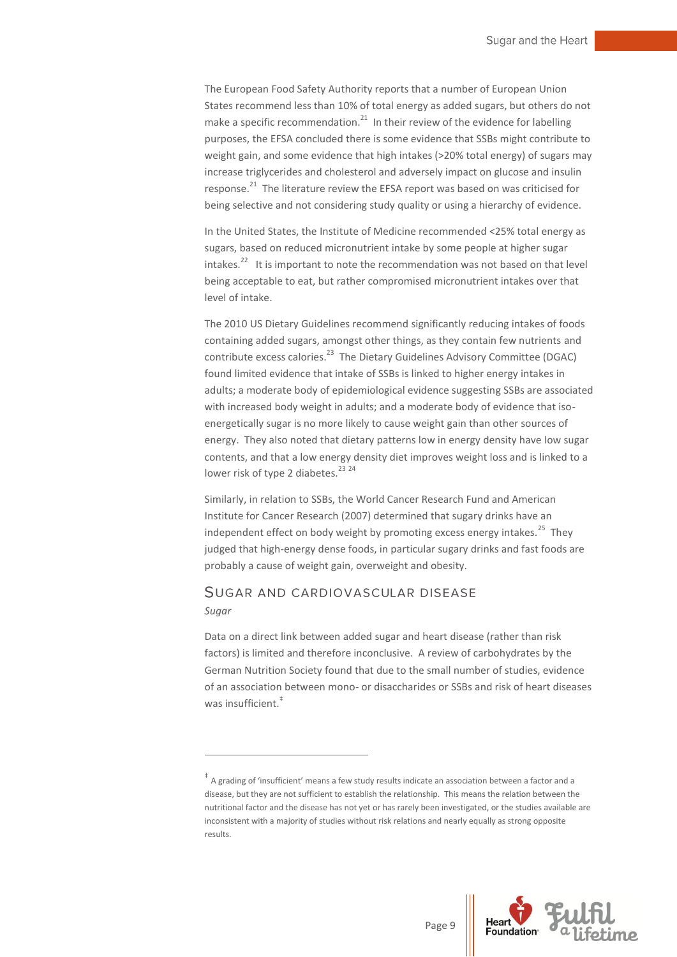The European Food Safety Authority reports that a number of European Union States recommend less than 10% of total energy as added sugars, but others do not make a specific recommendation. $21$  In their review of the evidence for labelling purposes, the EFSA concluded there is some evidence that SSBs might contribute to weight gain, and some evidence that high intakes (>20% total energy) of sugars may increase triglycerides and cholesterol and adversely impact on glucose and insulin response.<sup>21</sup> The literature review the EFSA report was based on was criticised for being selective and not considering study quality or using a hierarchy of evidence.

In the United States, the Institute of Medicine recommended <25% total energy as sugars, based on reduced micronutrient intake by some people at higher sugar intakes.<sup>22</sup> It is important to note the recommendation was not based on that level being acceptable to eat, but rather compromised micronutrient intakes over that level of intake.

The 2010 US Dietary Guidelines recommend significantly reducing intakes of foods containing added sugars, amongst other things, as they contain few nutrients and contribute excess calories.<sup>23</sup> The Dietary Guidelines Advisory Committee (DGAC) found limited evidence that intake of SSBs is linked to higher energy intakes in adults; a moderate body of epidemiological evidence suggesting SSBs are associated with increased body weight in adults; and a moderate body of evidence that isoenergetically sugar is no more likely to cause weight gain than other sources of energy. They also noted that dietary patterns low in energy density have low sugar contents, and that a low energy density diet improves weight loss and is linked to a lower risk of type 2 diabetes.<sup>23 24</sup>

Similarly, in relation to SSBs, the World Cancer Research Fund and American Institute for Cancer Research (2007) determined that sugary drinks have an independent effect on body weight by promoting excess energy intakes.<sup>25</sup> They judged that high-energy dense foods, in particular sugary drinks and fast foods are probably a cause of weight gain, overweight and obesity.

## <span id="page-9-0"></span>SUGAR AND CARDIOVASCULAR DISEASE

*Sugar*

1

Data on a direct link between added sugar and heart disease (rather than risk factors) is limited and therefore inconclusive. A review of carbohydrates by the German Nutrition Society found that due to the small number of studies, evidence of an association between mono- or disaccharides or SSBs and risk of heart diseases was insufficient.<sup>#</sup>



<sup>‡</sup> A grading of 'insufficient' means a few study results indicate an association between a factor and a disease, but they are not sufficient to establish the relationship. This means the relation between the nutritional factor and the disease has not yet or has rarely been investigated, or the studies available are inconsistent with a majority of studies without risk relations and nearly equally as strong opposite results.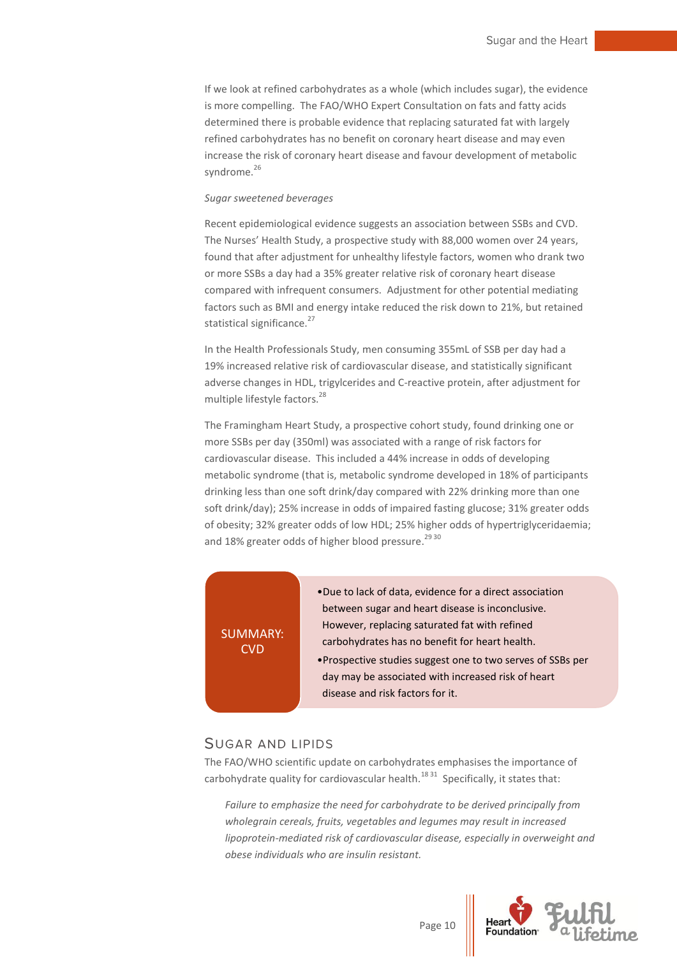If we look at refined carbohydrates as a whole (which includes sugar), the evidence is more compelling. The FAO/WHO Expert Consultation on fats and fatty acids determined there is probable evidence that replacing saturated fat with largely refined carbohydrates has no benefit on coronary heart disease and may even increase the risk of coronary heart disease and favour development of metabolic syndrome.<sup>26</sup>

#### *Sugar sweetened beverages*

Recent epidemiological evidence suggests an association between SSBs and CVD. The Nurses' Health Study, a prospective study with 88,000 women over 24 years, found that after adjustment for unhealthy lifestyle factors, women who drank two or more SSBs a day had a 35% greater relative risk of coronary heart disease compared with infrequent consumers. Adjustment for other potential mediating factors such as BMI and energy intake reduced the risk down to 21%, but retained statistical significance.<sup>27</sup>

In the Health Professionals Study, men consuming 355mL of SSB per day had a 19% increased relative risk of cardiovascular disease, and statistically significant adverse changes in HDL, trigylcerides and C-reactive protein, after adjustment for multiple lifestyle factors. 28

The Framingham Heart Study, a prospective cohort study, found drinking one or more SSBs per day (350ml) was associated with a range of risk factors for cardiovascular disease. This included a 44% increase in odds of developing metabolic syndrome (that is, metabolic syndrome developed in 18% of participants drinking less than one soft drink/day compared with 22% drinking more than one soft drink/day); 25% increase in odds of impaired fasting glucose; 31% greater odds of obesity; 32% greater odds of low HDL; 25% higher odds of hypertriglyceridaemia; and 18% greater odds of higher blood pressure.<sup>29 30</sup>

#### SUMMARY: **CVD**

- •Due to lack of data, evidence for a direct association between sugar and heart disease is inconclusive. However, replacing saturated fat with refined carbohydrates has no benefit for heart health.
- •Prospective studies suggest one to two serves of SSBs per day may be associated with increased risk of heart disease and risk factors for it.

#### <span id="page-10-0"></span>**SUGAR AND LIPIDS**

The FAO/WHO scientific update on carbohydrates emphasises the importance of carbohydrate quality for cardiovascular health. $^{18\,31}$  Specifically, it states that:

*Failure to emphasize the need for carbohydrate to be derived principally from wholegrain cereals, fruits, vegetables and legumes may result in increased lipoprotein-mediated risk of cardiovascular disease, especially in overweight and obese individuals who are insulin resistant.*

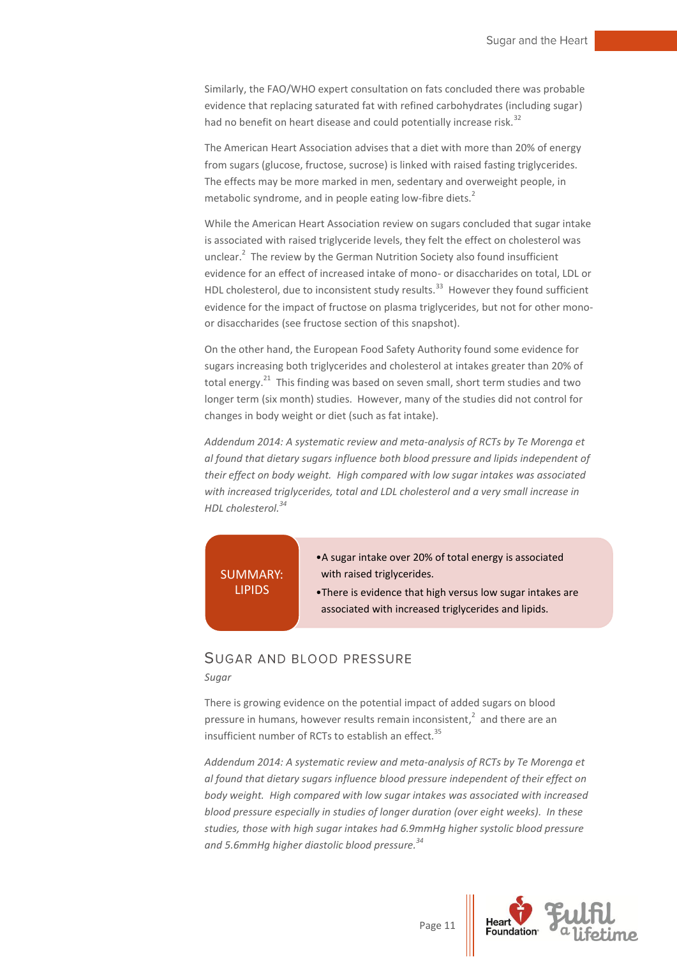Similarly, the FAO/WHO expert consultation on fats concluded there was probable evidence that replacing saturated fat with refined carbohydrates (including sugar) had no benefit on heart disease and could potentially increase risk.<sup>32</sup>

The American Heart Association advises that a diet with more than 20% of energy from sugars (glucose, fructose, sucrose) is linked with raised fasting triglycerides. The effects may be more marked in men, sedentary and overweight people, in metabolic syndrome, and in people eating low-fibre diets. $^2$ 

While the American Heart Association review on sugars concluded that sugar intake is associated with raised triglyceride levels, they felt the effect on cholesterol was unclear.<sup>2</sup> The review by the German Nutrition Society also found insufficient evidence for an effect of increased intake of mono- or disaccharides on total, LDL or HDL cholesterol, due to inconsistent study results.<sup>33</sup> However they found sufficient evidence for the impact of fructose on plasma triglycerides, but not for other monoor disaccharides (see fructose section of this snapshot).

On the other hand, the European Food Safety Authority found some evidence for sugars increasing both triglycerides and cholesterol at intakes greater than 20% of total energy.<sup>21</sup> This finding was based on seven small, short term studies and two longer term (six month) studies. However, many of the studies did not control for changes in body weight or diet (such as fat intake).

*Addendum 2014: A systematic review and meta-analysis of RCTs by Te Morenga et al found that dietary sugars influence both blood pressure and lipids independent of their effect on body weight. High compared with low sugar intakes was associated with increased triglycerides, total and LDL cholesterol and a very small increase in HDL cholesterol.<sup>34</sup>* 

## SUMMARY: LIPIDS

- •A sugar intake over 20% of total energy is associated with raised triglycerides.
- •There is evidence that high versus low sugar intakes are associated with increased triglycerides and lipids.

## <span id="page-11-0"></span>SUGAR AND BLOOD PRESSURE

#### *Sugar*

There is growing evidence on the potential impact of added sugars on blood pressure in humans, however results remain inconsistent, $^2$  and there are an insufficient number of RCTs to establish an effect.<sup>35</sup>

*Addendum 2014: A systematic review and meta-analysis of RCTs by Te Morenga et al found that dietary sugars influence blood pressure independent of their effect on body weight. High compared with low sugar intakes was associated with increased blood pressure especially in studies of longer duration (over eight weeks). In these studies, those with high sugar intakes had 6.9mmHg higher systolic blood pressure and 5.6mmHg higher diastolic blood pressure. 34* 

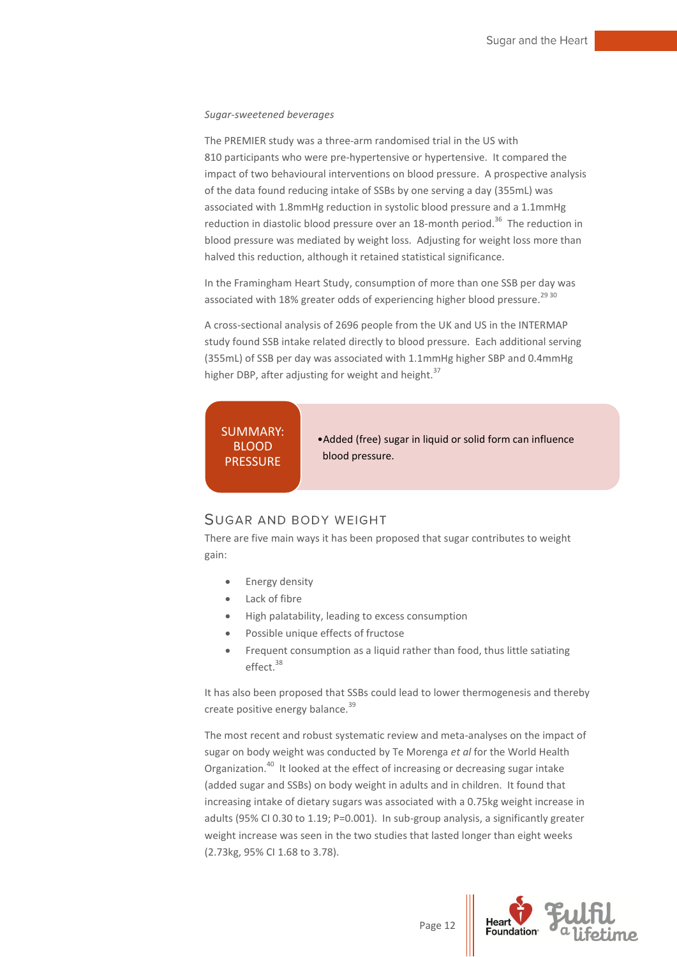#### *Sugar-sweetened beverages*

The PREMIER study was a three-arm randomised trial in the US with 810 participants who were pre-hypertensive or hypertensive. It compared the impact of two behavioural interventions on blood pressure. A prospective analysis of the data found reducing intake of SSBs by one serving a day (355mL) was associated with 1.8mmHg reduction in systolic blood pressure and a 1.1mmHg reduction in diastolic blood pressure over an 18-month period.<sup>36</sup> The reduction in blood pressure was mediated by weight loss. Adjusting for weight loss more than halved this reduction, although it retained statistical significance.

In the Framingham Heart Study, consumption of more than one SSB per day was associated with 18% greater odds of experiencing higher blood pressure.<sup>29 30</sup>

A cross-sectional analysis of 2696 people from the UK and US in the INTERMAP study found SSB intake related directly to blood pressure. Each additional serving (355mL) of SSB per day was associated with 1.1mmHg higher SBP and 0.4mmHg higher DBP, after adjusting for weight and height.<sup>37</sup>

## SUMMARY:

BLOOD **PRESSURE**  •Added (free) sugar in liquid or solid form can influence blood pressure.

## <span id="page-12-0"></span>**SUGAR AND BODY WEIGHT**

There are five main ways it has been proposed that sugar contributes to weight gain:

- Energy density
- Lack of fibre
- High palatability, leading to excess consumption
- Possible unique effects of fructose
- Frequent consumption as a liquid rather than food, thus little satiating effect.<sup>38</sup>

It has also been proposed that SSBs could lead to lower thermogenesis and thereby create positive energy balance.<sup>39</sup>

The most recent and robust systematic review and meta-analyses on the impact of sugar on body weight was conducted by Te Morenga *et al* for the World Health Organization.<sup>40</sup> It looked at the effect of increasing or decreasing sugar intake (added sugar and SSBs) on body weight in adults and in children. It found that increasing intake of dietary sugars was associated with a 0.75kg weight increase in adults (95% CI 0.30 to 1.19; P=0.001). In sub-group analysis, a significantly greater weight increase was seen in the two studies that lasted longer than eight weeks (2.73kg, 95% CI 1.68 to 3.78).

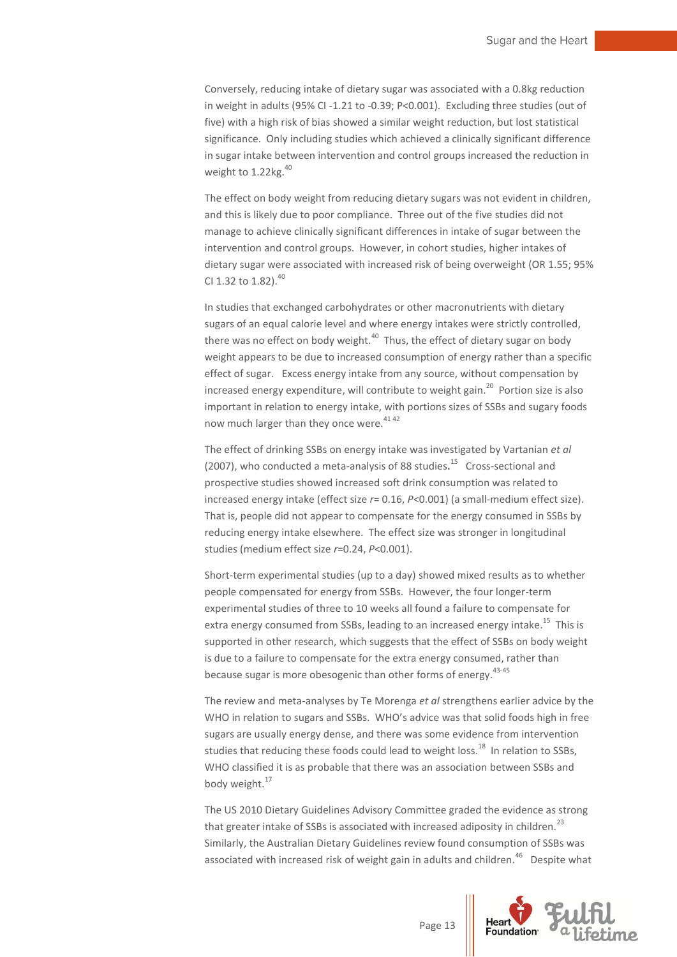Conversely, reducing intake of dietary sugar was associated with a 0.8kg reduction in weight in adults (95% CI -1.21 to -0.39; P<0.001). Excluding three studies (out of five) with a high risk of bias showed a similar weight reduction, but lost statistical significance. Only including studies which achieved a clinically significant difference in sugar intake between intervention and control groups increased the reduction in weight to 1.22kg.<sup>40</sup>

The effect on body weight from reducing dietary sugars was not evident in children, and this is likely due to poor compliance. Three out of the five studies did not manage to achieve clinically significant differences in intake of sugar between the intervention and control groups. However, in cohort studies, higher intakes of dietary sugar were associated with increased risk of being overweight (OR 1.55; 95% CI 1.32 to 1.82).<sup>40</sup>

In studies that exchanged carbohydrates or other macronutrients with dietary sugars of an equal calorie level and where energy intakes were strictly controlled, there was no effect on body weight. $^{40}$  Thus, the effect of dietary sugar on body weight appears to be due to increased consumption of energy rather than a specific effect of sugar. Excess energy intake from any source, without compensation by increased energy expenditure, will contribute to weight gain.<sup>20</sup> Portion size is also important in relation to energy intake, with portions sizes of SSBs and sugary foods now much larger than they once were.<sup>4142</sup>

The effect of drinking SSBs on energy intake was investigated by Vartanian *et al* (2007), who conducted a meta-analysis of 88 studies**.** 15 Cross-sectional and prospective studies showed increased soft drink consumption was related to increased energy intake (effect size *r*= 0.16, *P*<0.001) (a small-medium effect size). That is, people did not appear to compensate for the energy consumed in SSBs by reducing energy intake elsewhere. The effect size was stronger in longitudinal studies (medium effect size *r*=0.24, *P*<0.001).

Short-term experimental studies (up to a day) showed mixed results as to whether people compensated for energy from SSBs. However, the four longer-term experimental studies of three to 10 weeks all found a failure to compensate for extra energy consumed from SSBs, leading to an increased energy intake.<sup>15</sup> This is supported in other research, which suggests that the effect of SSBs on body weight is due to a failure to compensate for the extra energy consumed, rather than because sugar is more obesogenic than other forms of energy.<sup>43-45</sup>

The review and meta-analyses by Te Morenga *et al* strengthens earlier advice by the WHO in relation to sugars and SSBs. WHO's advice was that solid foods high in free sugars are usually energy dense, and there was some evidence from intervention studies that reducing these foods could lead to weight loss.<sup>18</sup> In relation to SSBs, WHO classified it is as probable that there was an association between SSBs and body weight.<sup>17</sup>

The US 2010 Dietary Guidelines Advisory Committee graded the evidence as strong that greater intake of SSBs is associated with increased adiposity in children.<sup>23</sup> Similarly, the Australian Dietary Guidelines review found consumption of SSBs was associated with increased risk of weight gain in adults and children.<sup>46</sup> Despite what

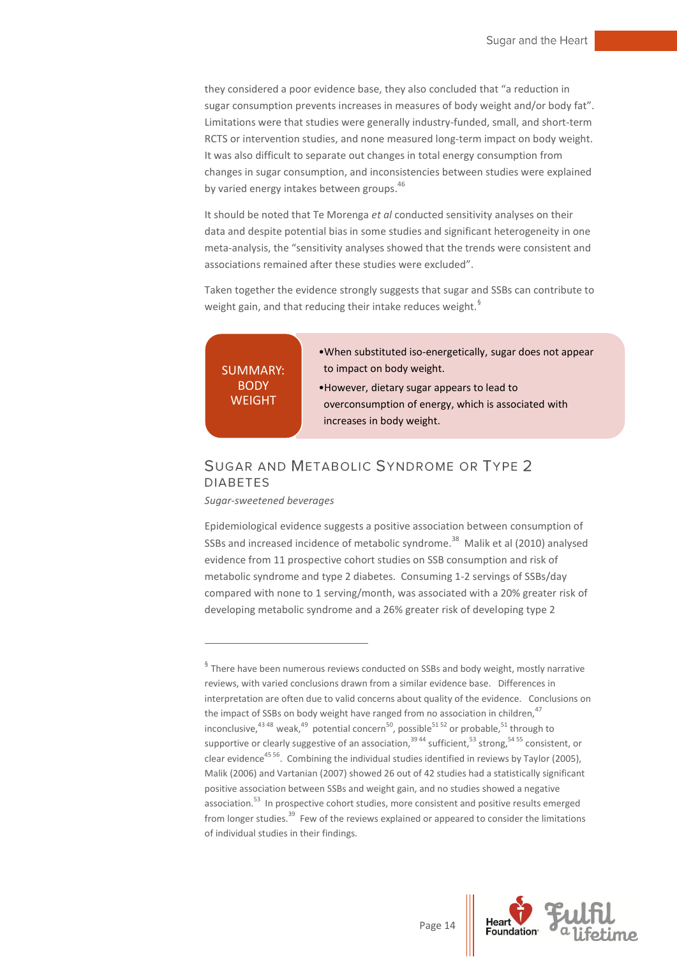they considered a poor evidence base, they also concluded that "a reduction in sugar consumption prevents increases in measures of body weight and/or body fat". Limitations were that studies were generally industry-funded, small, and short-term RCTS or intervention studies, and none measured long-term impact on body weight. It was also difficult to separate out changes in total energy consumption from changes in sugar consumption, and inconsistencies between studies were explained by varied energy intakes between groups.<sup>46</sup>

It should be noted that Te Morenga *et al* conducted sensitivity analyses on their data and despite potential bias in some studies and significant heterogeneity in one meta-analysis, the "sensitivity analyses showed that the trends were consistent and associations remained after these studies were excluded".

Taken together the evidence strongly suggests that sugar and SSBs can contribute to weight gain, and that reducing their intake reduces weight.<sup>§</sup>

SUMMARY: **BODY** WEIGHT

- •When substituted iso-energetically, sugar does not appear to impact on body weight.
- •However, dietary sugar appears to lead to overconsumption of energy, which is associated with increases in body weight.

## <span id="page-14-0"></span>SUGAR AND METABOLIC SYNDROME OR TYPE 2 **DIABETES**

*Sugar-sweetened beverages*

1

Epidemiological evidence suggests a positive association between consumption of SSBs and increased incidence of metabolic syndrome.<sup>38</sup> Malik et al (2010) analysed evidence from 11 prospective cohort studies on SSB consumption and risk of metabolic syndrome and type 2 diabetes. Consuming 1-2 servings of SSBs/day compared with none to 1 serving/month, was associated with a 20% greater risk of developing metabolic syndrome and a 26% greater risk of developing type 2



 $\frac{6}{3}$  There have been numerous reviews conducted on SSBs and body weight, mostly narrative reviews, with varied conclusions drawn from a similar evidence base. Differences in interpretation are often due to valid concerns about quality of the evidence. Conclusions on the impact of SSBs on body weight have ranged from no association in children,  $47$ inconclusive,<sup>43 48</sup> weak,<sup>49</sup> potential concern<sup>50</sup>, possible<sup>51 52</sup> or probable,<sup>51</sup> through to supportive or clearly suggestive of an association,<sup>3944</sup> sufficient,<sup>53</sup> strong,<sup>5455</sup> consistent, or clear evidence<sup>4556</sup>. Combining the individual studies identified in reviews by Taylor (2005), Malik (2006) and Vartanian (2007) showed 26 out of 42 studies had a statistically significant positive association between SSBs and weight gain, and no studies showed a negative association.<sup>53</sup> In prospective cohort studies, more consistent and positive results emerged from longer studies.<sup>39</sup> Few of the reviews explained or appeared to consider the limitations of individual studies in their findings.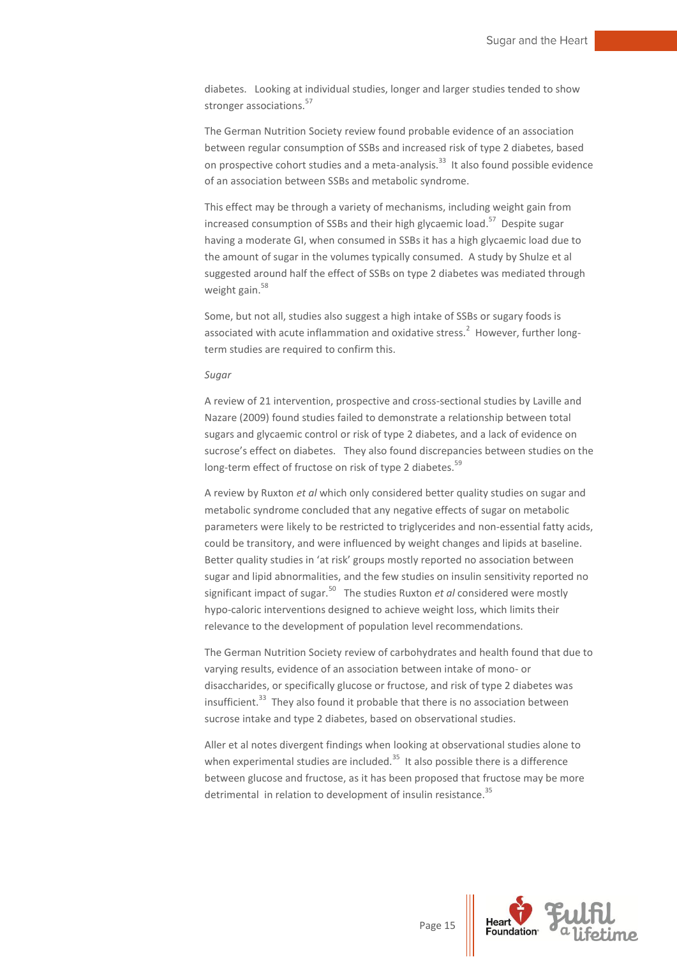diabetes. Looking at individual studies, longer and larger studies tended to show stronger associations.<sup>57</sup>

The German Nutrition Society review found probable evidence of an association between regular consumption of SSBs and increased risk of type 2 diabetes, based on prospective cohort studies and a meta-analysis.<sup>33</sup> It also found possible evidence of an association between SSBs and metabolic syndrome.

This effect may be through a variety of mechanisms, including weight gain from increased consumption of SSBs and their high glycaemic load. <sup>57</sup> Despite sugar having a moderate GI, when consumed in SSBs it has a high glycaemic load due to the amount of sugar in the volumes typically consumed. A study by Shulze et al suggested around half the effect of SSBs on type 2 diabetes was mediated through weight gain.<sup>58</sup>

Some, but not all, studies also suggest a high intake of SSBs or sugary foods is associated with acute inflammation and oxidative stress.<sup>2</sup> However, further longterm studies are required to confirm this.

#### *Sugar*

A review of 21 intervention, prospective and cross-sectional studies by Laville and Nazare (2009) found studies failed to demonstrate a relationship between total sugars and glycaemic control or risk of type 2 diabetes, and a lack of evidence on sucrose's effect on diabetes. They also found discrepancies between studies on the long-term effect of fructose on risk of type 2 diabetes.<sup>59</sup>

A review by Ruxton *et al* which only considered better quality studies on sugar and metabolic syndrome concluded that any negative effects of sugar on metabolic parameters were likely to be restricted to triglycerides and non-essential fatty acids, could be transitory, and were influenced by weight changes and lipids at baseline. Better quality studies in 'at risk' groups mostly reported no association between sugar and lipid abnormalities, and the few studies on insulin sensitivity reported no significant impact of sugar.<sup>50</sup> The studies Ruxton *et al* considered were mostly hypo-caloric interventions designed to achieve weight loss, which limits their relevance to the development of population level recommendations.

The German Nutrition Society review of carbohydrates and health found that due to varying results, evidence of an association between intake of mono- or disaccharides, or specifically glucose or fructose, and risk of type 2 diabetes was insufficient.<sup>33</sup> They also found it probable that there is no association between sucrose intake and type 2 diabetes, based on observational studies.

Aller et al notes divergent findings when looking at observational studies alone to when experimental studies are included.<sup>35</sup> It also possible there is a difference between glucose and fructose, as it has been proposed that fructose may be more detrimental in relation to development of insulin resistance.<sup>35</sup>

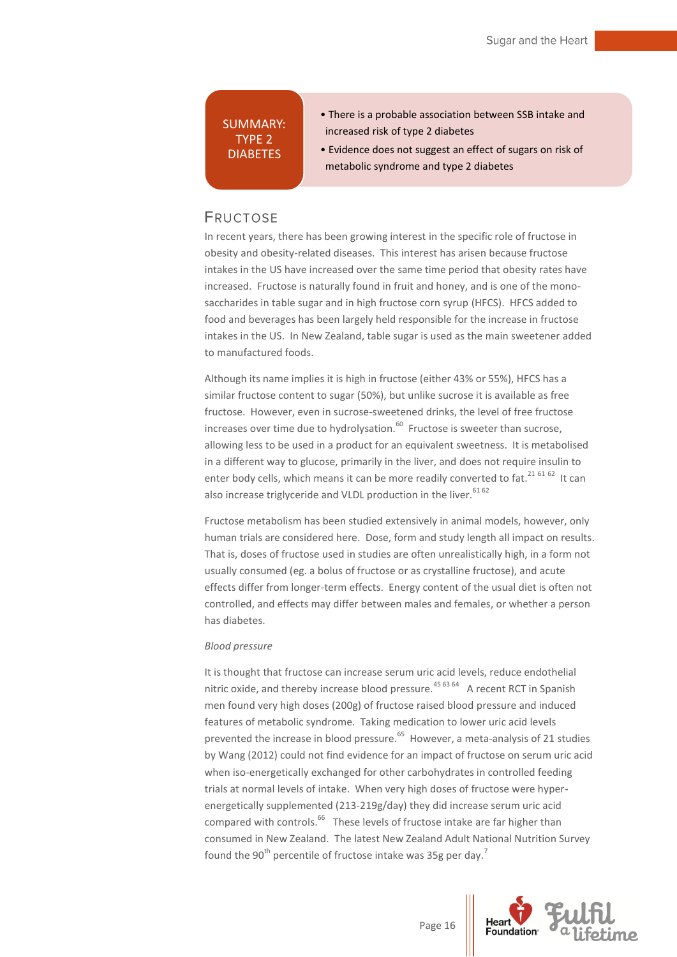## SUMMARY: TYPE 2 DIABETES

- There is a probable association between SSB intake and increased risk of type 2 diabetes
- Evidence does not suggest an effect of sugars on risk of metabolic syndrome and type 2 diabetes

## <span id="page-16-0"></span>**FRUCTOSE**

In recent years, there has been growing interest in the specific role of fructose in obesity and obesity-related diseases. This interest has arisen because fructose intakes in the US have increased over the same time period that obesity rates have increased. Fructose is naturally found in fruit and honey, and is one of the monosaccharides in table sugar and in high fructose corn syrup (HFCS). HFCS added to food and beverages has been largely held responsible for the increase in fructose intakes in the US. In New Zealand, table sugar is used as the main sweetener added to manufactured foods.

Although its name implies it is high in fructose (either 43% or 55%), HFCS has a similar fructose content to sugar (50%), but unlike sucrose it is available as free fructose. However, even in sucrose-sweetened drinks, the level of free fructose increases over time due to hydrolysation.<sup>60</sup> Fructose is sweeter than sucrose, allowing less to be used in a product for an equivalent sweetness. It is metabolised in a different way to glucose, primarily in the liver, and does not require insulin to enter body cells, which means it can be more readily converted to fat.<sup>21 61 62</sup> It can also increase triglyceride and VLDL production in the liver.<sup>61 62</sup>

Fructose metabolism has been studied extensively in animal models, however, only human trials are considered here. Dose, form and study length all impact on results. That is, doses of fructose used in studies are often unrealistically high, in a form not usually consumed (eg. a bolus of fructose or as crystalline fructose), and acute effects differ from longer-term effects. Energy content of the usual diet is often not controlled, and effects may differ between males and females, or whether a person has diabetes.

#### *Blood pressure*

It is thought that fructose can increase serum uric acid levels, reduce endothelial nitric oxide, and thereby increase blood pressure.<sup>45 63 64</sup> A recent RCT in Spanish men found very high doses (200g) of fructose raised blood pressure and induced features of metabolic syndrome. Taking medication to lower uric acid levels prevented the increase in blood pressure.<sup>65</sup> However, a meta-analysis of 21 studies by Wang (2012) could not find evidence for an impact of fructose on serum uric acid when iso-energetically exchanged for other carbohydrates in controlled feeding trials at normal levels of intake. When very high doses of fructose were hyperenergetically supplemented (213-219g/day) they did increase serum uric acid compared with controls.<sup>66</sup> These levels of fructose intake are far higher than consumed in New Zealand. The latest New Zealand Adult National Nutrition Survey found the 90<sup>th</sup> percentile of fructose intake was 35g per day.<sup>7</sup>

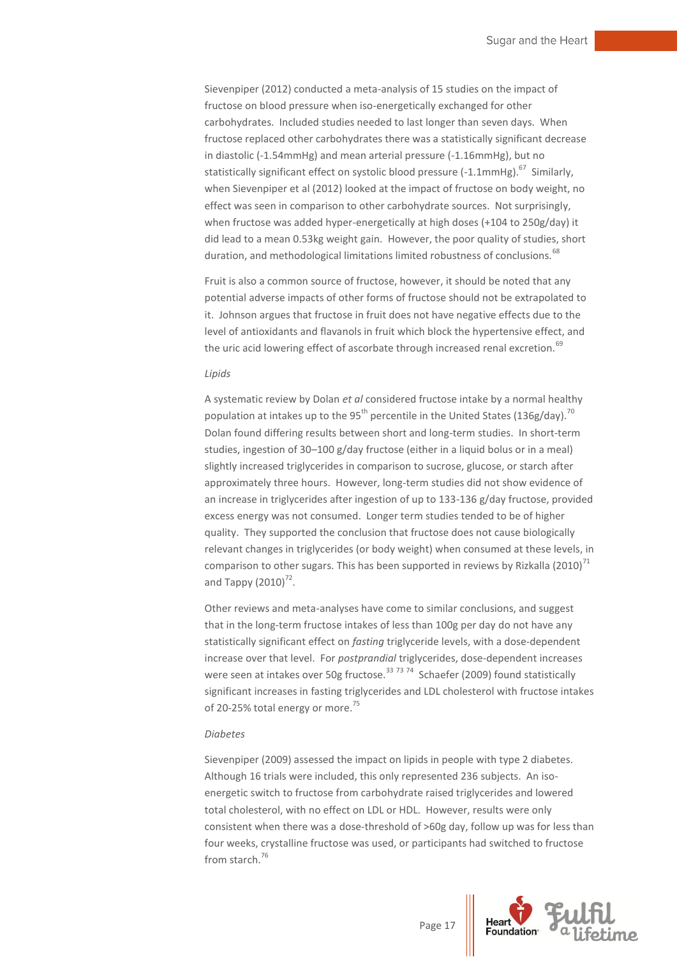Sievenpiper (2012) conducted a meta-analysis of 15 studies on the impact of fructose on blood pressure when iso-energetically exchanged for other carbohydrates. Included studies needed to last longer than seven days. When fructose replaced other carbohydrates there was a statistically significant decrease in diastolic (-1.54mmHg) and mean arterial pressure (-1.16mmHg), but no statistically significant effect on systolic blood pressure (-1.1mmHg).<sup>67</sup> Similarly, when Sievenpiper et al (2012) looked at the impact of fructose on body weight, no effect was seen in comparison to other carbohydrate sources. Not surprisingly, when fructose was added hyper-energetically at high doses (+104 to 250g/day) it did lead to a mean 0.53kg weight gain. However, the poor quality of studies, short duration, and methodological limitations limited robustness of conclusions.<sup>68</sup>

Fruit is also a common source of fructose, however, it should be noted that any potential adverse impacts of other forms of fructose should not be extrapolated to it. Johnson argues that fructose in fruit does not have negative effects due to the level of antioxidants and flavanols in fruit which block the hypertensive effect, and the uric acid lowering effect of ascorbate through increased renal excretion.<sup>69</sup>

#### *Lipids*

A systematic review by Dolan *et al* considered fructose intake by a normal healthy population at intakes up to the 95<sup>th</sup> percentile in the United States (136g/day).<sup>70</sup> Dolan found differing results between short and long-term studies. In short-term studies, ingestion of 30–100 g/day fructose (either in a liquid bolus or in a meal) slightly increased triglycerides in comparison to sucrose, glucose, or starch after approximately three hours. However, long-term studies did not show evidence of an increase in triglycerides after ingestion of up to 133-136 g/day fructose, provided excess energy was not consumed. Longer term studies tended to be of higher quality. They supported the conclusion that fructose does not cause biologically relevant changes in triglycerides (or body weight) when consumed at these levels, in comparison to other sugars. This has been supported in reviews by Rizkalla (2010)<sup>71</sup> and Tappy  $(2010)^{72}$ .

Other reviews and meta-analyses have come to similar conclusions, and suggest that in the long-term fructose intakes of less than 100g per day do not have any statistically significant effect on *fasting* triglyceride levels, with a dose-dependent increase over that level. For *postprandial* triglycerides, dose-dependent increases were seen at intakes over 50g fructose.<sup>33 73 74</sup> Schaefer (2009) found statistically significant increases in fasting triglycerides and LDL cholesterol with fructose intakes of 20-25% total energy or more.<sup>75</sup>

#### *Diabetes*

Sievenpiper (2009) assessed the impact on lipids in people with type 2 diabetes. Although 16 trials were included, this only represented 236 subjects. An isoenergetic switch to fructose from carbohydrate raised triglycerides and lowered total cholesterol, with no effect on LDL or HDL. However, results were only consistent when there was a dose-threshold of >60g day, follow up was for less than four weeks, crystalline fructose was used, or participants had switched to fructose from starch.<sup>76</sup>

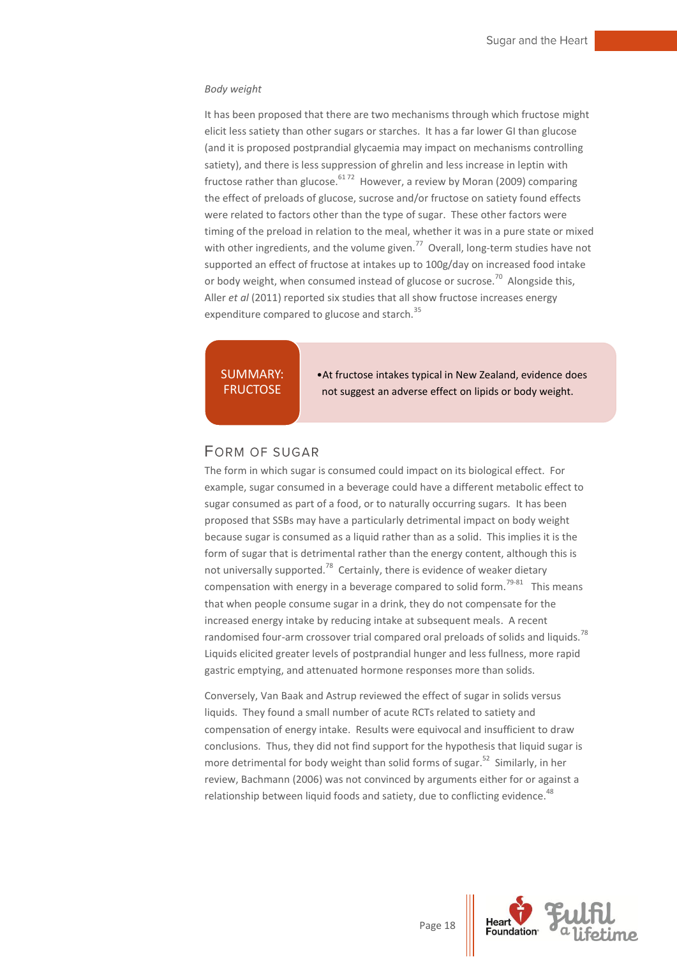#### *Body weight*

It has been proposed that there are two mechanisms through which fructose might elicit less satiety than other sugars or starches. It has a far lower GI than glucose (and it is proposed postprandial glycaemia may impact on mechanisms controlling satiety), and there is less suppression of ghrelin and less increase in leptin with fructose rather than glucose.<sup>6172</sup> However, a review by Moran (2009) comparing the effect of preloads of glucose, sucrose and/or fructose on satiety found effects were related to factors other than the type of sugar. These other factors were timing of the preload in relation to the meal, whether it was in a pure state or mixed with other ingredients, and the volume given.<sup>77</sup> Overall, long-term studies have not supported an effect of fructose at intakes up to 100g/day on increased food intake or body weight, when consumed instead of glucose or sucrose.<sup>70</sup> Alongside this, Aller *et al* (2011) reported six studies that all show fructose increases energy expenditure compared to glucose and starch.<sup>35</sup>

SUMMARY: **FRUCTOSE** 

•At fructose intakes typical in New Zealand, evidence does not suggest an adverse effect on lipids or body weight.

#### <span id="page-18-0"></span>**FORM OF SUGAR**

The form in which sugar is consumed could impact on its biological effect. For example, sugar consumed in a beverage could have a different metabolic effect to sugar consumed as part of a food, or to naturally occurring sugars. It has been proposed that SSBs may have a particularly detrimental impact on body weight because sugar is consumed as a liquid rather than as a solid. This implies it is the form of sugar that is detrimental rather than the energy content, although this is not universally supported.<sup>78</sup> Certainly, there is evidence of weaker dietary compensation with energy in a beverage compared to solid form.<sup>79-81</sup> This means that when people consume sugar in a drink, they do not compensate for the increased energy intake by reducing intake at subsequent meals. A recent randomised four-arm crossover trial compared oral preloads of solids and liquids.<sup>78</sup> Liquids elicited greater levels of postprandial hunger and less fullness, more rapid gastric emptying, and attenuated hormone responses more than solids.

Conversely, Van Baak and Astrup reviewed the effect of sugar in solids versus liquids. They found a small number of acute RCTs related to satiety and compensation of energy intake. Results were equivocal and insufficient to draw conclusions. Thus, they did not find support for the hypothesis that liquid sugar is more detrimental for body weight than solid forms of sugar.<sup>52</sup> Similarly, in her review, Bachmann (2006) was not convinced by arguments either for or against a relationship between liquid foods and satiety, due to conflicting evidence.<sup>48</sup>

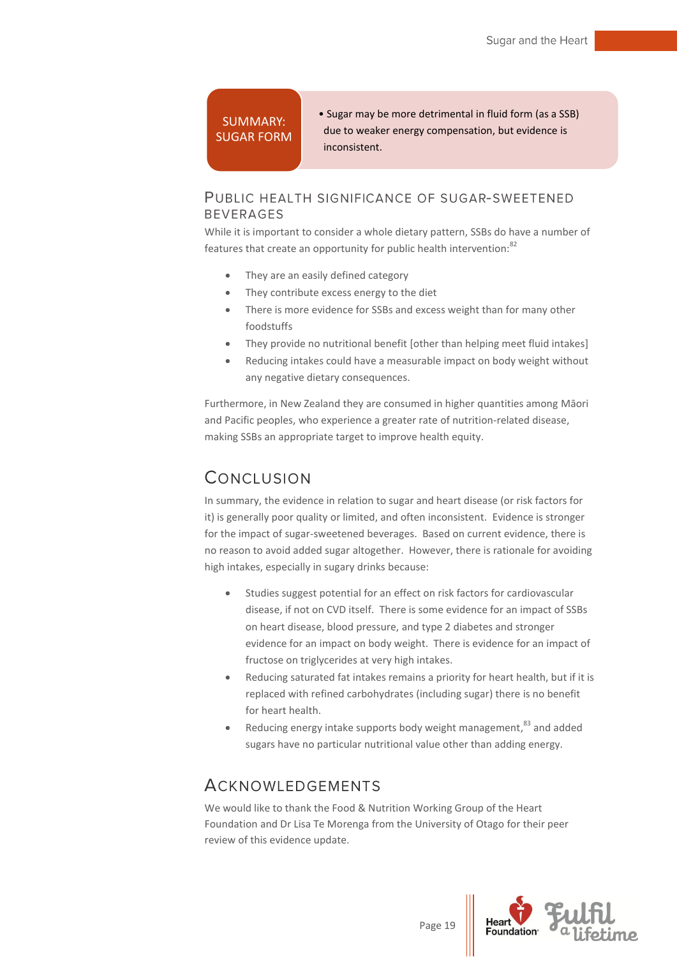## SUMMARY: SUGAR FORM

• Sugar may be more detrimental in fluid form (as a SSB) due to weaker energy compensation, but evidence is inconsistent.

## <span id="page-19-0"></span>PUBLIC HEALTH SIGNIFICANCE OF SUGAR-SWEETENED **BEVERAGES**

While it is important to consider a whole dietary pattern, SSBs do have a number of features that create an opportunity for public health intervention:<sup>82</sup>

- They are an easily defined category
- They contribute excess energy to the diet
- There is more evidence for SSBs and excess weight than for many other foodstuffs
- They provide no nutritional benefit [other than helping meet fluid intakes]
- Reducing intakes could have a measurable impact on body weight without any negative dietary consequences.

Furthermore, in New Zealand they are consumed in higher quantities among Māori and Pacific peoples, who experience a greater rate of nutrition-related disease, making SSBs an appropriate target to improve health equity.

## <span id="page-19-1"></span>CONCLUSION

In summary, the evidence in relation to sugar and heart disease (or risk factors for it) is generally poor quality or limited, and often inconsistent. Evidence is stronger for the impact of sugar-sweetened beverages. Based on current evidence, there is no reason to avoid added sugar altogether. However, there is rationale for avoiding high intakes, especially in sugary drinks because:

- Studies suggest potential for an effect on risk factors for cardiovascular disease, if not on CVD itself. There is some evidence for an impact of SSBs on heart disease, blood pressure, and type 2 diabetes and stronger evidence for an impact on body weight. There is evidence for an impact of fructose on triglycerides at very high intakes.
- Reducing saturated fat intakes remains a priority for heart health, but if it is replaced with refined carbohydrates (including sugar) there is no benefit for heart health.
- Reducing energy intake supports body weight management,  $83$  and added sugars have no particular nutritional value other than adding energy.

## <span id="page-19-2"></span>**ACKNOWLEDGEMENTS**

We would like to thank the Food & Nutrition Working Group of the Heart Foundation and Dr Lisa Te Morenga from the University of Otago for their peer review of this evidence update.

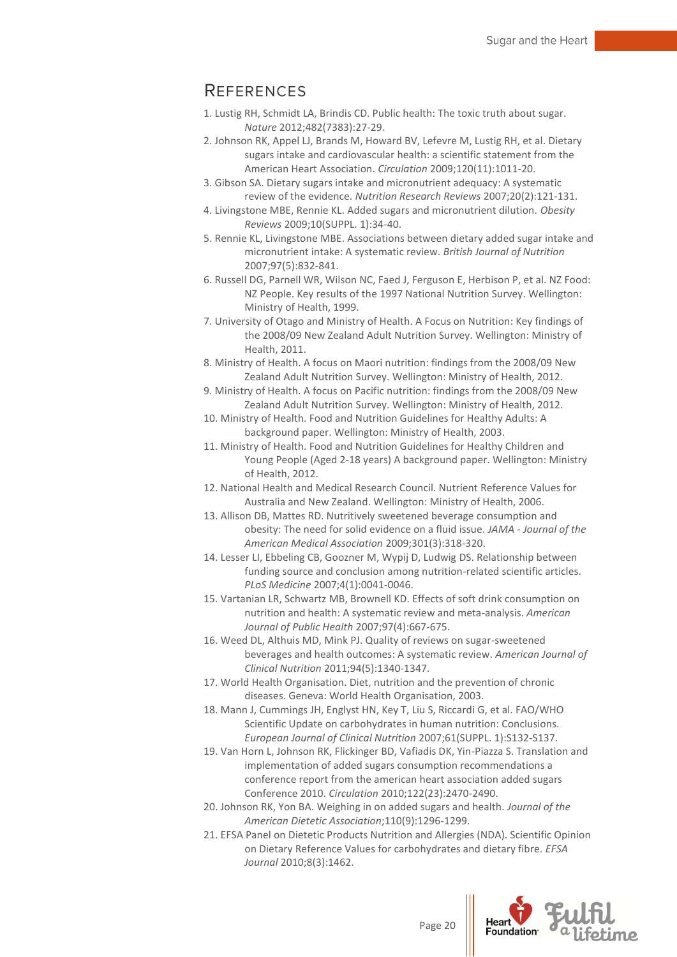## <span id="page-20-0"></span>**REFERENCES**

- 1. Lustig RH, Schmidt LA, Brindis CD. Public health: The toxic truth about sugar. *Nature* 2012;482(7383):27-29.
- 2. Johnson RK, Appel LJ, Brands M, Howard BV, Lefevre M, Lustig RH, et al. Dietary sugars intake and cardiovascular health: a scientific statement from the American Heart Association. *Circulation* 2009;120(11):1011-20.
- 3. Gibson SA. Dietary sugars intake and micronutrient adequacy: A systematic review of the evidence. *Nutrition Research Reviews* 2007;20(2):121-131.
- 4. Livingstone MBE, Rennie KL. Added sugars and micronutrient dilution. *Obesity Reviews* 2009;10(SUPPL. 1):34-40.
- 5. Rennie KL, Livingstone MBE. Associations between dietary added sugar intake and micronutrient intake: A systematic review. *British Journal of Nutrition* 2007;97(5):832-841.
- 6. Russell DG, Parnell WR, Wilson NC, Faed J, Ferguson E, Herbison P, et al. NZ Food: NZ People. Key results of the 1997 National Nutrition Survey. Wellington: Ministry of Health, 1999.
- 7. University of Otago and Ministry of Health. A Focus on Nutrition: Key findings of the 2008/09 New Zealand Adult Nutrition Survey. Wellington: Ministry of Health, 2011.
- 8. Ministry of Health. A focus on Maori nutrition: findings from the 2008/09 New Zealand Adult Nutrition Survey. Wellington: Ministry of Health, 2012.
- 9. Ministry of Health. A focus on Pacific nutrition: findings from the 2008/09 New Zealand Adult Nutrition Survey. Wellington: Ministry of Health, 2012.
- 10. Ministry of Health. Food and Nutrition Guidelines for Healthy Adults: A background paper. Wellington: Ministry of Health, 2003.
- 11. Ministry of Health. Food and Nutrition Guidelines for Healthy Children and Young People (Aged 2-18 years) A background paper. Wellington: Ministry of Health, 2012.
- 12. National Health and Medical Research Council. Nutrient Reference Values for Australia and New Zealand. Wellington: Ministry of Health, 2006.
- 13. Allison DB, Mattes RD. Nutritively sweetened beverage consumption and obesity: The need for solid evidence on a fluid issue. *JAMA - Journal of the American Medical Association* 2009;301(3):318-320.
- 14. Lesser LI, Ebbeling CB, Goozner M, Wypij D, Ludwig DS. Relationship between funding source and conclusion among nutrition-related scientific articles. *PLoS Medicine* 2007;4(1):0041-0046.
- 15. Vartanian LR, Schwartz MB, Brownell KD. Effects of soft drink consumption on nutrition and health: A systematic review and meta-analysis. *American Journal of Public Health* 2007;97(4):667-675.
- 16. Weed DL, Althuis MD, Mink PJ. Quality of reviews on sugar-sweetened beverages and health outcomes: A systematic review. *American Journal of Clinical Nutrition* 2011;94(5):1340-1347.
- 17. World Health Organisation. Diet, nutrition and the prevention of chronic diseases. Geneva: World Health Organisation, 2003.
- 18. Mann J, Cummings JH, Englyst HN, Key T, Liu S, Riccardi G, et al. FAO/WHO Scientific Update on carbohydrates in human nutrition: Conclusions. *European Journal of Clinical Nutrition* 2007;61(SUPPL. 1):S132-S137.
- 19. Van Horn L, Johnson RK, Flickinger BD, Vafiadis DK, Yin-Piazza S. Translation and implementation of added sugars consumption recommendations a conference report from the american heart association added sugars Conference 2010. *Circulation* 2010;122(23):2470-2490.
- 20. Johnson RK, Yon BA. Weighing in on added sugars and health. *Journal of the American Dietetic Association*;110(9):1296-1299.
- 21. EFSA Panel on Dietetic Products Nutrition and Allergies (NDA). Scientific Opinion on Dietary Reference Values for carbohydrates and dietary fibre. *EFSA Journal* 2010;8(3):1462.

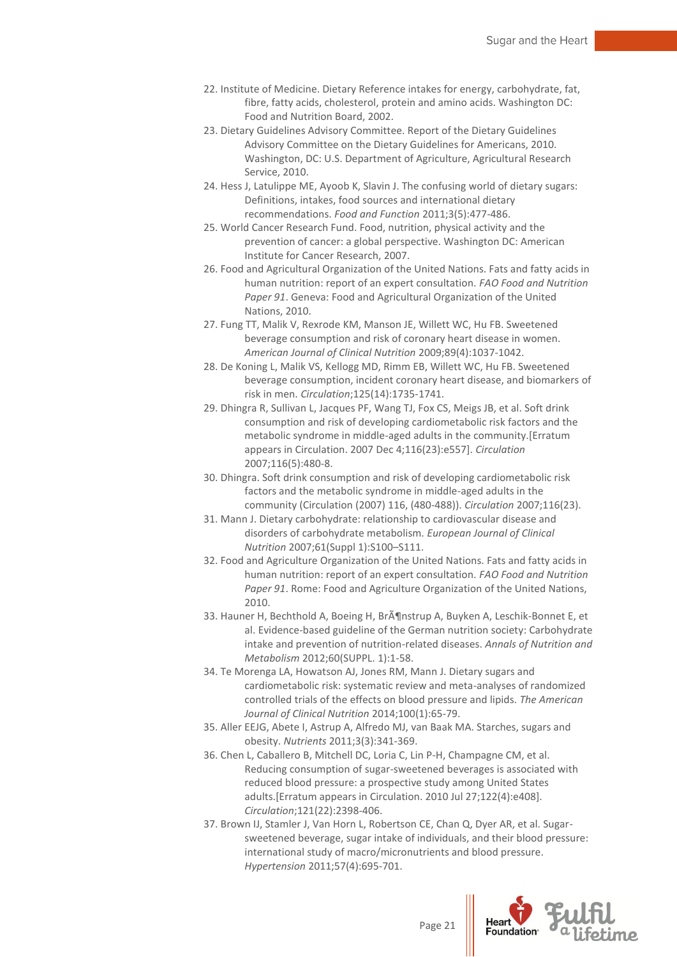- 22. Institute of Medicine. Dietary Reference intakes for energy, carbohydrate, fat, fibre, fatty acids, cholesterol, protein and amino acids. Washington DC: Food and Nutrition Board, 2002.
- 23. Dietary Guidelines Advisory Committee. Report of the Dietary Guidelines Advisory Committee on the Dietary Guidelines for Americans, 2010. Washington, DC: U.S. Department of Agriculture, Agricultural Research Service, 2010.
- 24. Hess J, Latulippe ME, Ayoob K, Slavin J. The confusing world of dietary sugars: Definitions, intakes, food sources and international dietary recommendations. *Food and Function* 2011;3(5):477-486.
- 25. World Cancer Research Fund. Food, nutrition, physical activity and the prevention of cancer: a global perspective. Washington DC: American Institute for Cancer Research, 2007.
- 26. Food and Agricultural Organization of the United Nations. Fats and fatty acids in human nutrition: report of an expert consultation. *FAO Food and Nutrition Paper 91*. Geneva: Food and Agricultural Organization of the United Nations, 2010.
- 27. Fung TT, Malik V, Rexrode KM, Manson JE, Willett WC, Hu FB. Sweetened beverage consumption and risk of coronary heart disease in women. *American Journal of Clinical Nutrition* 2009;89(4):1037-1042.
- 28. De Koning L, Malik VS, Kellogg MD, Rimm EB, Willett WC, Hu FB. Sweetened beverage consumption, incident coronary heart disease, and biomarkers of risk in men. *Circulation*;125(14):1735-1741.
- 29. Dhingra R, Sullivan L, Jacques PF, Wang TJ, Fox CS, Meigs JB, et al. Soft drink consumption and risk of developing cardiometabolic risk factors and the metabolic syndrome in middle-aged adults in the community.[Erratum appears in Circulation. 2007 Dec 4;116(23):e557]. *Circulation* 2007;116(5):480-8.
- 30. Dhingra. Soft drink consumption and risk of developing cardiometabolic risk factors and the metabolic syndrome in middle-aged adults in the community (Circulation (2007) 116, (480-488)). *Circulation* 2007;116(23).
- 31. Mann J. Dietary carbohydrate: relationship to cardiovascular disease and disorders of carbohydrate metabolism. *European Journal of Clinical Nutrition* 2007;61(Suppl 1):S100–S111.
- 32. Food and Agriculture Organization of the United Nations. Fats and fatty acids in human nutrition: report of an expert consultation. *FAO Food and Nutrition Paper 91*. Rome: Food and Agriculture Organization of the United Nations, 2010.
- 33. Hauner H, Bechthold A, Boeing H, BrAJnstrup A, Buyken A, Leschik-Bonnet E, et al. Evidence-based guideline of the German nutrition society: Carbohydrate intake and prevention of nutrition-related diseases. *Annals of Nutrition and Metabolism* 2012;60(SUPPL. 1):1-58.
- 34. Te Morenga LA, Howatson AJ, Jones RM, Mann J. Dietary sugars and cardiometabolic risk: systematic review and meta-analyses of randomized controlled trials of the effects on blood pressure and lipids. *The American Journal of Clinical Nutrition* 2014;100(1):65-79.
- 35. Aller EEJG, Abete I, Astrup A, Alfredo MJ, van Baak MA. Starches, sugars and obesity. *Nutrients* 2011;3(3):341-369.
- 36. Chen L, Caballero B, Mitchell DC, Loria C, Lin P-H, Champagne CM, et al. Reducing consumption of sugar-sweetened beverages is associated with reduced blood pressure: a prospective study among United States adults.[Erratum appears in Circulation. 2010 Jul 27;122(4):e408]. *Circulation*;121(22):2398-406.
- 37. Brown IJ, Stamler J, Van Horn L, Robertson CE, Chan Q, Dyer AR, et al. Sugarsweetened beverage, sugar intake of individuals, and their blood pressure: international study of macro/micronutrients and blood pressure. *Hypertension* 2011;57(4):695-701.

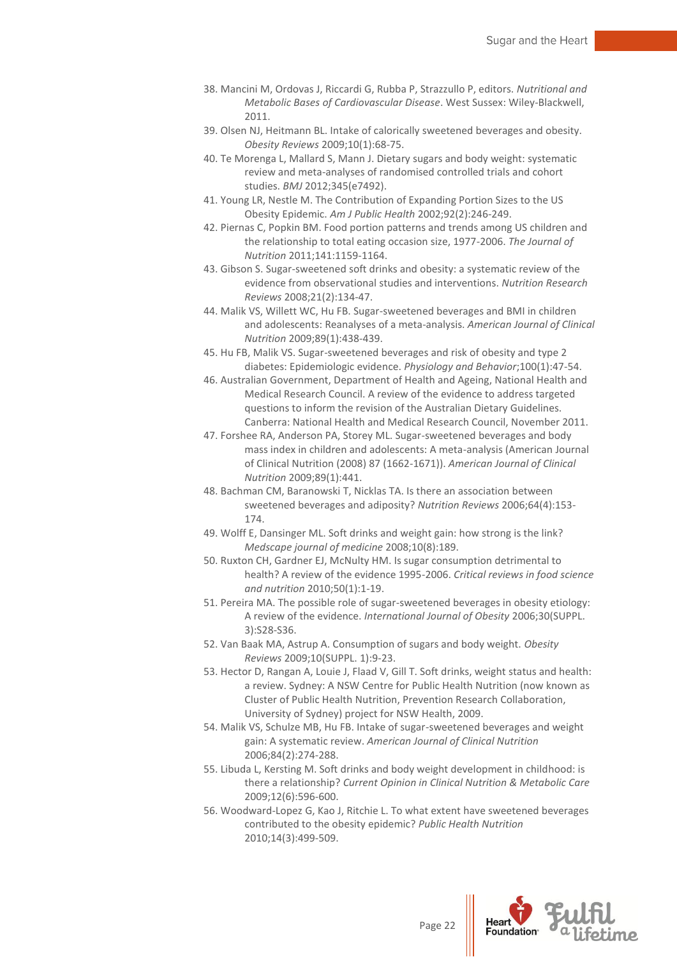- 38. Mancini M, Ordovas J, Riccardi G, Rubba P, Strazzullo P, editors. *Nutritional and Metabolic Bases of Cardiovascular Disease*. West Sussex: Wiley-Blackwell, 2011.
- 39. Olsen NJ, Heitmann BL. Intake of calorically sweetened beverages and obesity. *Obesity Reviews* 2009;10(1):68-75.
- 40. Te Morenga L, Mallard S, Mann J. Dietary sugars and body weight: systematic review and meta-analyses of randomised controlled trials and cohort studies. *BMJ* 2012;345(e7492).
- 41. Young LR, Nestle M. The Contribution of Expanding Portion Sizes to the US Obesity Epidemic. *Am J Public Health* 2002;92(2):246-249.
- 42. Piernas C, Popkin BM. Food portion patterns and trends among US children and the relationship to total eating occasion size, 1977-2006. *The Journal of Nutrition* 2011;141:1159-1164.
- 43. Gibson S. Sugar-sweetened soft drinks and obesity: a systematic review of the evidence from observational studies and interventions. *Nutrition Research Reviews* 2008;21(2):134-47.
- 44. Malik VS, Willett WC, Hu FB. Sugar-sweetened beverages and BMI in children and adolescents: Reanalyses of a meta-analysis. *American Journal of Clinical Nutrition* 2009;89(1):438-439.
- 45. Hu FB, Malik VS. Sugar-sweetened beverages and risk of obesity and type 2 diabetes: Epidemiologic evidence. *Physiology and Behavior*;100(1):47-54.
- 46. Australian Government, Department of Health and Ageing, National Health and Medical Research Council. A review of the evidence to address targeted questions to inform the revision of the Australian Dietary Guidelines. Canberra: National Health and Medical Research Council, November 2011.
- 47. Forshee RA, Anderson PA, Storey ML. Sugar-sweetened beverages and body mass index in children and adolescents: A meta-analysis (American Journal of Clinical Nutrition (2008) 87 (1662-1671)). *American Journal of Clinical Nutrition* 2009;89(1):441.
- 48. Bachman CM, Baranowski T, Nicklas TA. Is there an association between sweetened beverages and adiposity? *Nutrition Reviews* 2006;64(4):153- 174.
- 49. Wolff E, Dansinger ML. Soft drinks and weight gain: how strong is the link? *Medscape journal of medicine* 2008;10(8):189.
- 50. Ruxton CH, Gardner EJ, McNulty HM. Is sugar consumption detrimental to health? A review of the evidence 1995-2006. *Critical reviews in food science and nutrition* 2010;50(1):1-19.
- 51. Pereira MA. The possible role of sugar-sweetened beverages in obesity etiology: A review of the evidence. *International Journal of Obesity* 2006;30(SUPPL. 3):S28-S36.
- 52. Van Baak MA, Astrup A. Consumption of sugars and body weight. *Obesity Reviews* 2009;10(SUPPL. 1):9-23.
- 53. Hector D, Rangan A, Louie J, Flaad V, Gill T. Soft drinks, weight status and health: a review. Sydney: A NSW Centre for Public Health Nutrition (now known as Cluster of Public Health Nutrition, Prevention Research Collaboration, University of Sydney) project for NSW Health, 2009.
- 54. Malik VS, Schulze MB, Hu FB. Intake of sugar-sweetened beverages and weight gain: A systematic review. *American Journal of Clinical Nutrition* 2006;84(2):274-288.
- 55. Libuda L, Kersting M. Soft drinks and body weight development in childhood: is there a relationship? *Current Opinion in Clinical Nutrition & Metabolic Care* 2009;12(6):596-600.
- 56. Woodward-Lopez G, Kao J, Ritchie L. To what extent have sweetened beverages contributed to the obesity epidemic? *Public Health Nutrition* 2010;14(3):499-509.

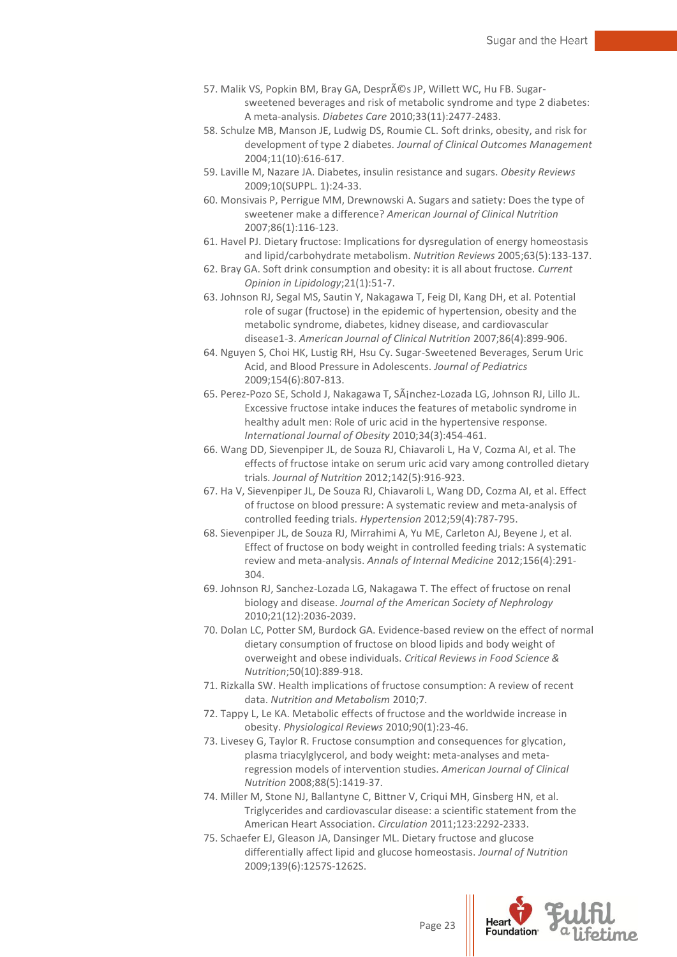- 57. Malik VS, Popkin BM, Bray GA, Després JP, Willett WC, Hu FB. Sugarsweetened beverages and risk of metabolic syndrome and type 2 diabetes: A meta-analysis. *Diabetes Care* 2010;33(11):2477-2483.
- 58. Schulze MB, Manson JE, Ludwig DS, Roumie CL. Soft drinks, obesity, and risk for development of type 2 diabetes. *Journal of Clinical Outcomes Management* 2004;11(10):616-617.
- 59. Laville M, Nazare JA. Diabetes, insulin resistance and sugars. *Obesity Reviews* 2009;10(SUPPL. 1):24-33.
- 60. Monsivais P, Perrigue MM, Drewnowski A. Sugars and satiety: Does the type of sweetener make a difference? *American Journal of Clinical Nutrition* 2007;86(1):116-123.
- 61. Havel PJ. Dietary fructose: Implications for dysregulation of energy homeostasis and lipid/carbohydrate metabolism. *Nutrition Reviews* 2005;63(5):133-137.
- 62. Bray GA. Soft drink consumption and obesity: it is all about fructose. *Current Opinion in Lipidology*;21(1):51-7.
- 63. Johnson RJ, Segal MS, Sautin Y, Nakagawa T, Feig DI, Kang DH, et al. Potential role of sugar (fructose) in the epidemic of hypertension, obesity and the metabolic syndrome, diabetes, kidney disease, and cardiovascular disease1-3. *American Journal of Clinical Nutrition* 2007;86(4):899-906.
- 64. Nguyen S, Choi HK, Lustig RH, Hsu Cy. Sugar-Sweetened Beverages, Serum Uric Acid, and Blood Pressure in Adolescents. *Journal of Pediatrics* 2009;154(6):807-813.
- 65. Perez-Pozo SE, Schold J, Nakagawa T, Sánchez-Lozada LG, Johnson RJ, Lillo JL. Excessive fructose intake induces the features of metabolic syndrome in healthy adult men: Role of uric acid in the hypertensive response. *International Journal of Obesity* 2010;34(3):454-461.
- 66. Wang DD, Sievenpiper JL, de Souza RJ, Chiavaroli L, Ha V, Cozma AI, et al. The effects of fructose intake on serum uric acid vary among controlled dietary trials. *Journal of Nutrition* 2012;142(5):916-923.
- 67. Ha V, Sievenpiper JL, De Souza RJ, Chiavaroli L, Wang DD, Cozma AI, et al. Effect of fructose on blood pressure: A systematic review and meta-analysis of controlled feeding trials. *Hypertension* 2012;59(4):787-795.
- 68. Sievenpiper JL, de Souza RJ, Mirrahimi A, Yu ME, Carleton AJ, Beyene J, et al. Effect of fructose on body weight in controlled feeding trials: A systematic review and meta-analysis. *Annals of Internal Medicine* 2012;156(4):291- 304.
- 69. Johnson RJ, Sanchez-Lozada LG, Nakagawa T. The effect of fructose on renal biology and disease. *Journal of the American Society of Nephrology* 2010;21(12):2036-2039.
- 70. Dolan LC, Potter SM, Burdock GA. Evidence-based review on the effect of normal dietary consumption of fructose on blood lipids and body weight of overweight and obese individuals. *Critical Reviews in Food Science & Nutrition*;50(10):889-918.
- 71. Rizkalla SW. Health implications of fructose consumption: A review of recent data. *Nutrition and Metabolism* 2010;7.
- 72. Tappy L, Le KA. Metabolic effects of fructose and the worldwide increase in obesity. *Physiological Reviews* 2010;90(1):23-46.
- 73. Livesey G, Taylor R. Fructose consumption and consequences for glycation, plasma triacylglycerol, and body weight: meta-analyses and metaregression models of intervention studies. *American Journal of Clinical Nutrition* 2008;88(5):1419-37.
- 74. Miller M, Stone NJ, Ballantyne C, Bittner V, Criqui MH, Ginsberg HN, et al. Triglycerides and cardiovascular disease: a scientific statement from the American Heart Association. *Circulation* 2011;123:2292-2333.
- 75. Schaefer EJ, Gleason JA, Dansinger ML. Dietary fructose and glucose differentially affect lipid and glucose homeostasis. *Journal of Nutrition* 2009;139(6):1257S-1262S.